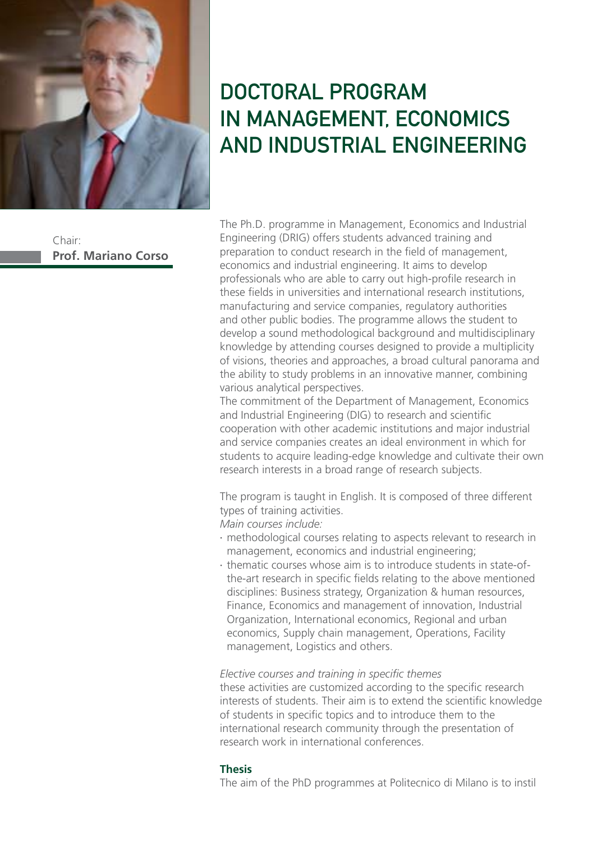

Chair: **Prof. Mariano Corso**

# DOCTORAL PROGRAM IN MANAGEMENT, ECONOMICS AND INDUSTRIAL ENGINEERING

The Ph.D. programme in Management, Economics and Industrial Engineering (DRIG) offers students advanced training and preparation to conduct research in the field of management, economics and industrial engineering. It aims to develop professionals who are able to carry out high-profile research in these fields in universities and international research institutions. manufacturing and service companies, regulatory authorities and other public bodies. The programme allows the student to develop a sound methodological background and multidisciplinary knowledge by attending courses designed to provide a multiplicity of visions, theories and approaches, a broad cultural panorama and the ability to study problems in an innovative manner, combining various analytical perspectives.

The commitment of the Department of Management, Economics and Industrial Engineering (DIG) to research and scientific cooperation with other academic institutions and major industrial and service companies creates an ideal environment in which for students to acquire leading-edge knowledge and cultivate their own research interests in a broad range of research subjects.

The program is taught in English. It is composed of three different types of training activities.

*Main courses include:*

- ∙ methodological courses relating to aspects relevant to research in management, economics and industrial engineering;
- ∙ thematic courses whose aim is to introduce students in state-ofthe-art research in specific fields relating to the above mentioned disciplines: Business strategy, Organization & human resources, Finance, Economics and management of innovation, Industrial Organization, International economics, Regional and urban economics, Supply chain management, Operations, Facility management, Logistics and others.

### *Elective courses and training in specific themes*

these activities are customized according to the specific research interests of students. Their aim is to extend the scientific knowledge of students in specific topics and to introduce them to the international research community through the presentation of research work in international conferences.

### **Thesis**

The aim of the PhD programmes at Politecnico di Milano is to instil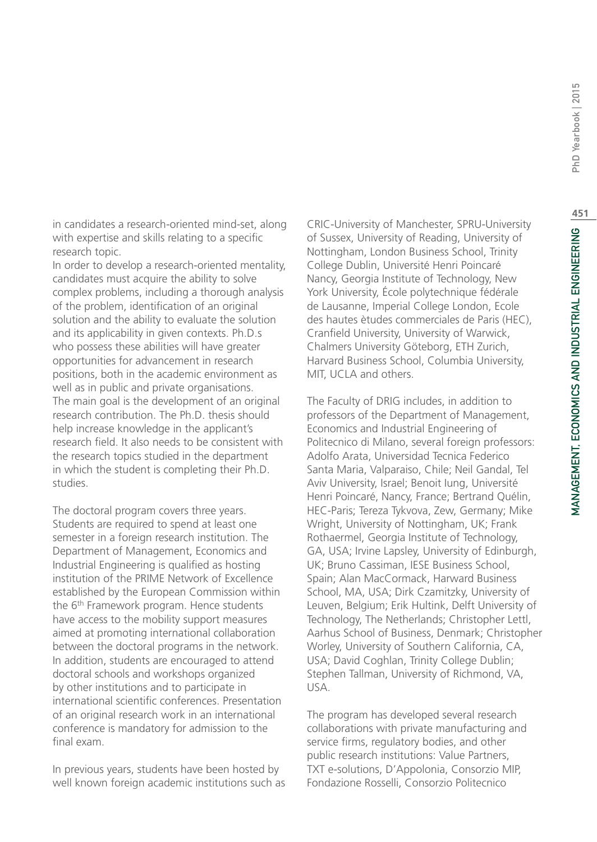in candidates a research-oriented mind-set, along with expertise and skills relating to a specific research topic.

In order to develop a research-oriented mentality, candidates must acquire the ability to solve complex problems, including a thorough analysis of the problem, identification of an original solution and the ability to evaluate the solution and its applicability in given contexts. Ph.D.s who possess these abilities will have greater opportunities for advancement in research positions, both in the academic environment as well as in public and private organisations. The main goal is the development of an original research contribution. The Ph.D. thesis should help increase knowledge in the applicant's research field. It also needs to be consistent with the research topics studied in the department in which the student is completing their Ph.D. studies.

The doctoral program covers three years. Students are required to spend at least one semester in a foreign research institution. The Department of Management, Economics and Industrial Engineering is qualified as hosting institution of the PRIME Network of Excellence established by the European Commission within the 6<sup>th</sup> Framework program. Hence students have access to the mobility support measures aimed at promoting international collaboration between the doctoral programs in the network. In addition, students are encouraged to attend doctoral schools and workshops organized by other institutions and to participate in international scientific conferences. Presentation of an original research work in an international conference is mandatory for admission to the final exam

In previous years, students have been hosted by well known foreign academic institutions such as CRIC-University of Manchester, SPRU-University of Sussex, University of Reading, University of Nottingham, London Business School, Trinity College Dublin, Université Henri Poincaré Nancy, Georgia Institute of Technology, New York University, École polytechnique fédérale de Lausanne, Imperial College London, Ecole des hautes ètudes commerciales de Paris (HEC), Cranfield University, University of Warwick, Chalmers University Göteborg, ETH Zurich, Harvard Business School, Columbia University, MIT, UCLA and others.

The Faculty of DRIG includes, in addition to professors of the Department of Management, Economics and Industrial Engineering of Politecnico di Milano, several foreign professors: Adolfo Arata, Universidad Tecnica Federico Santa Maria, Valparaiso, Chile; Neil Gandal, Tel Aviv University, Israel; Benoit Iung, Université Henri Poincaré, Nancy, France; Bertrand Quélin, HEC-Paris; Tereza Tykvova, Zew, Germany; Mike Wright, University of Nottingham, UK; Frank Rothaermel, Georgia Institute of Technology, GA, USA; Irvine Lapsley, University of Edinburgh, UK; Bruno Cassiman, IESE Business School, Spain; Alan MacCormack, Harward Business School, MA, USA; Dirk Czamitzky, University of Leuven, Belgium; Erik Hultink, Delft University of Technology, The Netherlands; Christopher Lettl, Aarhus School of Business, Denmark; Christopher Worley, University of Southern California, CA, USA; David Coghlan, Trinity College Dublin; Stephen Tallman, University of Richmond, VA, USA.

The program has developed several research collaborations with private manufacturing and service firms, regulatory bodies, and other public research institutions: Value Partners, TXT e-solutions, D'Appolonia, Consorzio MIP, Fondazione Rosselli, Consorzio Politecnico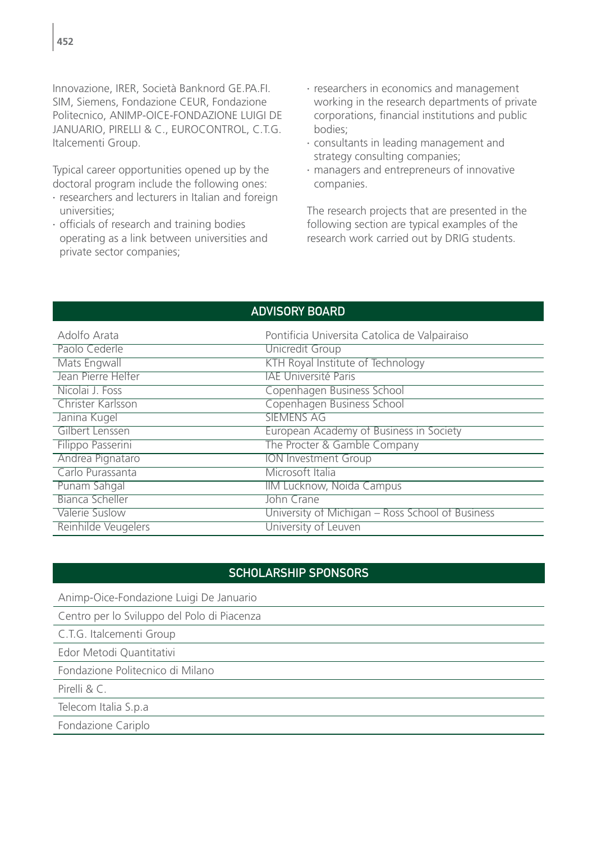Innovazione, IRER, Società Banknord GE.PA.FI. SIM, Siemens, Fondazione CEUR, Fondazione Politecnico, ANIMP-OICE-FONDAZIONE LUIGI DE JANUARIO, PIRELLI & C., EUROCONTROL, C.T.G. Italcementi Group.

Typical career opportunities opened up by the doctoral program include the following ones:

- ∙ researchers and lecturers in Italian and foreign universities;
- ∙ officials of research and training bodies operating as a link between universities and private sector companies;
- ∙ researchers in economics and management working in the research departments of private corporations, financial institutions and public bodies;
- ∙ consultants in leading management and strategy consulting companies;
- ∙ managers and entrepreneurs of innovative companies.

The research projects that are presented in the following section are typical examples of the research work carried out by DRIG students.

## ADVISORY BOARD

| Adolfo Arata        | Pontificia Universita Catolica de Valpairaiso    |
|---------------------|--------------------------------------------------|
| Paolo Cederle       | Unicredit Group                                  |
| Mats Engwall        | KTH Royal Institute of Technology                |
| Jean Pierre Helfer  | <b>IAE Université Paris</b>                      |
| Nicolai J. Foss     | Copenhagen Business School                       |
| Christer Karlsson   | Copenhagen Business School                       |
| Janina Kugel        | <b>SIEMENS AG</b>                                |
| Gilbert Lenssen     | European Academy of Business in Society          |
| Filippo Passerini   | The Procter & Gamble Company                     |
| Andrea Pignataro    | <b>ION Investment Group</b>                      |
| Carlo Purassanta    | Microsoft Italia                                 |
| Punam Sahgal        | <b>IIM Lucknow, Noida Campus</b>                 |
| Bianca Scheller     | John Crane                                       |
| Valerie Suslow      | University of Michigan – Ross School of Business |
| Reinhilde Veugelers | University of Leuven                             |

## SCHOLARSHIP SPONSORS

Animp-Oice-Fondazione Luigi De Januario

Centro per lo Sviluppo del Polo di Piacenza

C.T.G. Italcementi Group

Edor Metodi Quantitativi

Fondazione Politecnico di Milano

Pirelli & C.

Telecom Italia S.p.a

Fondazione Cariplo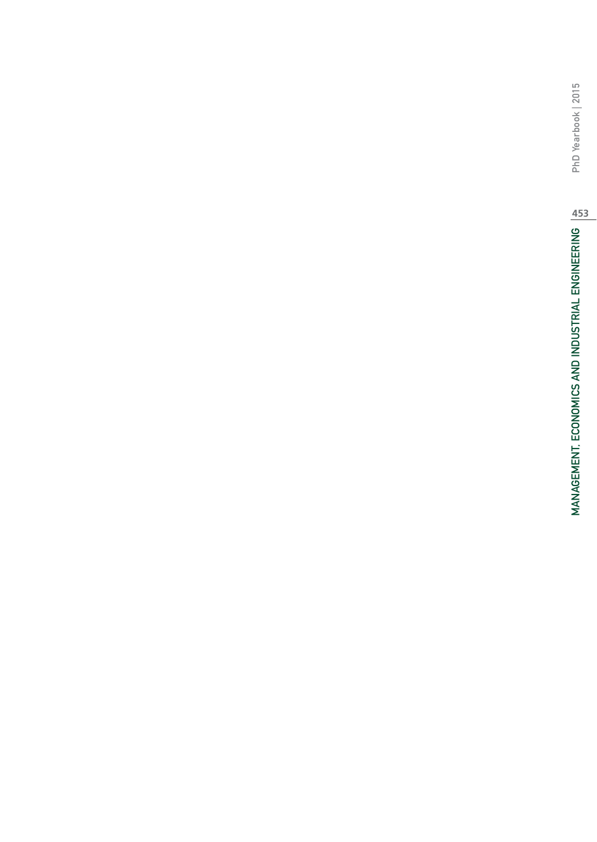PhD Yearbook | 2015 MANAGEMENT, ECONOMICS AND INDUSTRIAL ENGINEERING PhD Yearbook | 2015MANAGEMENT, ECONOMICS AND INDUSTRIAL ENGINEERING |<del>|</del><br>|<del>|</del>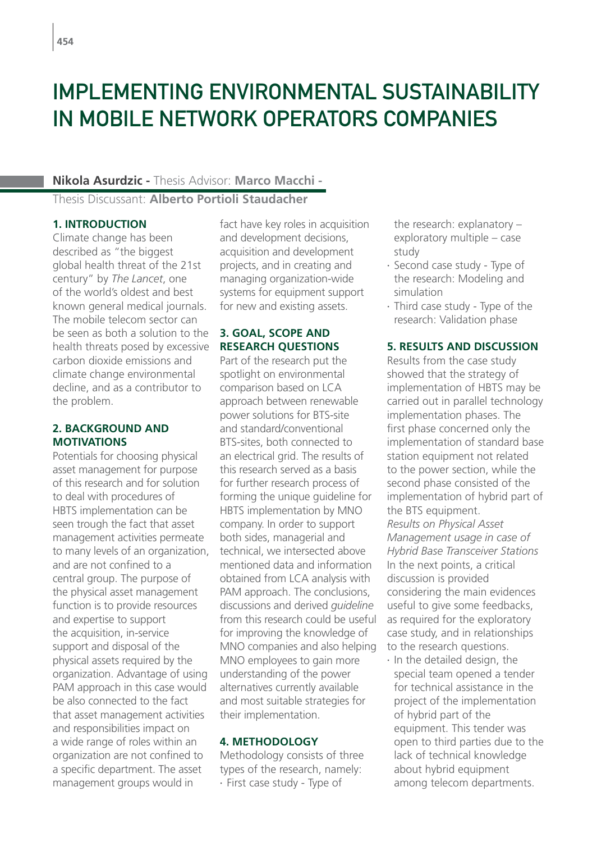## IMPI FMENTING ENVIRONMENTAL SUSTAINABILITY IN MOBILE NETWORK OPERATORS COMPANIES

## **Nikola Asurdzic -** Thesis Advisor: **Marco Macchi -**

Thesis Discussant: **Alberto Portioli Staudacher**

### **1. INTRODUCTION**

Climate change has been described as "the biggest global health threat of the 21st century" by *The Lancet*, one of the world's oldest and best known general medical journals. The mobile telecom sector can be seen as both a solution to the health threats posed by excessive carbon dioxide emissions and climate change environmental decline, and as a contributor to the problem.

## **2. BACKGROUND AND MOTIVATIONS**

Potentials for choosing physical asset management for purpose of this research and for solution to deal with procedures of HBTS implementation can be seen trough the fact that asset management activities permeate to many levels of an organization, and are not confined to a central group. The purpose of the physical asset management function is to provide resources and expertise to support the acquisition, in-service support and disposal of the physical assets required by the organization. Advantage of using PAM approach in this case would be also connected to the fact that asset management activities and responsibilities impact on a wide range of roles within an organization are not confined to a specific department. The asset management groups would in

fact have key roles in acquisition and development decisions, acquisition and development projects, and in creating and managing organization-wide systems for equipment support for new and existing assets.

## **3. GOAL, SCOPE AND RESEARCH QUESTIONS**

Part of the research put the spotlight on environmental comparison based on LCA approach between renewable power solutions for BTS-site and standard/conventional BTS-sites, both connected to an electrical grid. The results of this research served as a basis for further research process of forming the unique guideline for HBTS implementation by MNO company. In order to support both sides, managerial and technical, we intersected above mentioned data and information obtained from LCA analysis with PAM approach. The conclusions, discussions and derived *guideline* from this research could be useful for improving the knowledge of MNO companies and also helping MNO employees to gain more understanding of the power alternatives currently available and most suitable strategies for their implementation.

### **4. METHODOLOGY**

Methodology consists of three types of the research, namely: ∙ First case study - Type of

the research: explanatory – exploratory multiple – case study

- ∙ Second case study Type of the research: Modeling and simulation
- ∙ Third case study Type of the research: Validation phase

### **5. RESULTS AND DISCUSSION**

Results from the case study showed that the strategy of implementation of HBTS may be carried out in parallel technology implementation phases. The first phase concerned only the implementation of standard base station equipment not related to the power section, while the second phase consisted of the implementation of hybrid part of the BTS equipment.

*Results on Physical Asset Management usage in case of Hybrid Base Transceiver Stations* In the next points, a critical discussion is provided considering the main evidences useful to give some feedbacks, as required for the exploratory case study, and in relationships to the research questions.

∙ In the detailed design, the special team opened a tender for technical assistance in the project of the implementation of hybrid part of the equipment. This tender was open to third parties due to the lack of technical knowledge about hybrid equipment among telecom departments.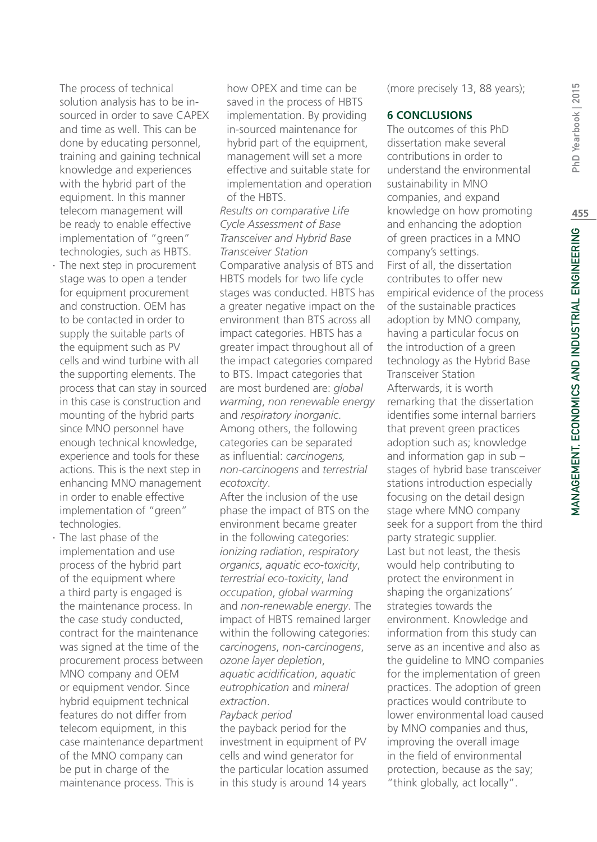solution analysis has to be insourced in order to save CAPEX and time as well. This can be done by educating personnel, training and gaining technical knowledge and experiences with the hybrid part of the equipment. In this manner telecom management will be ready to enable effective implementation of "green" technologies, such as HBTS. ∙ The next step in procurement stage was to open a tender for equipment procurement and construction. OEM has to be contacted in order to supply the suitable parts of the equipment such as PV cells and wind turbine with all the supporting elements. The process that can stay in sourced in this case is construction and mounting of the hybrid parts since MNO personnel have enough technical knowledge, experience and tools for these actions. This is the next step in enhancing MNO management in order to enable effective implementation of "green" technologies.

The process of technical

∙ The last phase of the implementation and use process of the hybrid part of the equipment where a third party is engaged is the maintenance process. In the case study conducted, contract for the maintenance was signed at the time of the procurement process between MNO company and OEM or equipment vendor. Since hybrid equipment technical features do not differ from telecom equipment, in this case maintenance department of the MNO company can be put in charge of the maintenance process. This is

how OPEX and time can be saved in the process of HBTS implementation. By providing in-sourced maintenance for hybrid part of the equipment, management will set a more effective and suitable state for implementation and operation of the HBTS.

### *Results on comparative Life Cycle Assessment of Base Transceiver and Hybrid Base Transceiver Station*

Comparative analysis of BTS and HBTS models for two life cycle stages was conducted. HBTS has a greater negative impact on the environment than BTS across all impact categories. HBTS has a greater impact throughout all of the impact categories compared to BTS. Impact categories that are most burdened are: *global warming*, *non renewable energy* and *respiratory inorganic*. Among others, the following categories can be separated as infl uential: *carcinogens, non-carcinogens* and *terrestrial ecotoxcity*.

After the inclusion of the use phase the impact of BTS on the environment became greater in the following categories: *ionizing radiation*, *respiratory organics*, *aquatic eco-toxicity*, *terrestrial eco-toxicity*, *land occupation*, *global warming* and *non-renewable energy*. The impact of HBTS remained larger within the following categories: *carcinogens*, *non-carcinogens*, *ozone layer depletion*, *aquatic acidifi cation*, *aquatic eutrophication* and *mineral extraction*.

*Payback period* the payback period for the investment in equipment of PV cells and wind generator for the particular location assumed in this study is around 14 years

(more precisely 13, 88 years);

### **6 CONCLUSIONS**

The outcomes of this PhD dissertation make several contributions in order to understand the environmental sustainability in MNO companies, and expand knowledge on how promoting and enhancing the adoption of green practices in a MNO company's settings. First of all, the dissertation contributes to offer new empirical evidence of the process of the sustainable practices adoption by MNO company, having a particular focus on the introduction of a green technology as the Hybrid Base Transceiver Station Afterwards, it is worth remarking that the dissertation identifies some internal barriers that prevent green practices adoption such as; knowledge and information gap in sub – stages of hybrid base transceiver stations introduction especially focusing on the detail design stage where MNO company seek for a support from the third party strategic supplier. Last but not least, the thesis would help contributing to protect the environment in shaping the organizations' strategies towards the environment. Knowledge and information from this study can serve as an incentive and also as the guideline to MNO companies for the implementation of green practices. The adoption of green practices would contribute to lower environmental load caused by MNO companies and thus, improving the overall image in the field of environmental protection, because as the say; "think globally, act locally".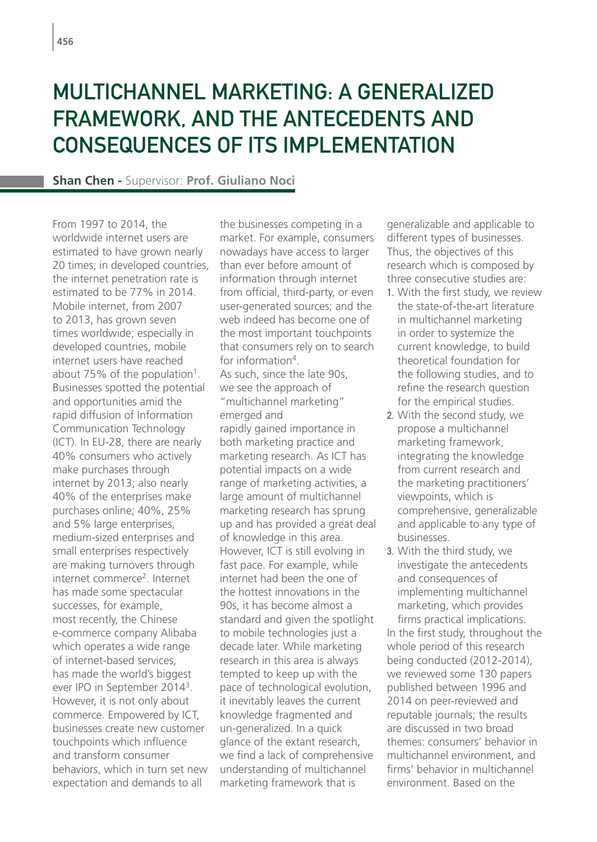## **456**

# MULTICHANNEL MARKETING: A GENERALIZED FRAMEWORK, AND THE ANTECEDENTS AND CONSEQUENCES OF ITS IMPLEMENTATION

## **Shan Chen -** Supervisor: **Prof. Giuliano Noci**

From 1997 to 2014, the worldwide internet users are estimated to have grown nearly 20 times; in developed countries, the internet penetration rate is estimated to be 77% in 2014. Mobile internet, from 2007 to 2013, has grown seven times worldwide; especially in developed countries, mobile internet users have reached about 75% of the population<sup>1</sup>. Businesses spotted the potential and opportunities amid the rapid diffusion of Information Communication Technology (ICT). In EU-28, there are nearly 40% consumers who actively make purchases through internet by 2013; also nearly 40% of the enterprises make purchases online; 40%, 25% and 5% large enterprises, medium-sized enterprises and small enterprises respectively are making turnovers through internet commerce2. Internet has made some spectacular successes, for example, most recently, the Chinese e-commerce company Alibaba which operates a wide range of internet-based services, has made the world's biggest ever IPO in September 20143. However, it is not only about commerce. Empowered by ICT, businesses create new customer touchpoints which influence and transform consumer behaviors, which in turn set new expectation and demands to all

the businesses competing in a market. For example, consumers nowadays have access to larger than ever before amount of information through internet from official, third-party, or even user-generated sources; and the web indeed has become one of the most important touchpoints that consumers rely on to search for information4. As such, since the late 90s, we see the approach of "multichannel marketing" emerged and rapidly gained importance in both marketing practice and marketing research. As ICT has potential impacts on a wide range of marketing activities, a large amount of multichannel marketing research has sprung up and has provided a great deal of knowledge in this area. However, ICT is still evolving in fast pace. For example, while internet had been the one of the hottest innovations in the 90s, it has become almost a standard and given the spotlight to mobile technologies just a decade later. While marketing research in this area is always tempted to keep up with the pace of technological evolution, it inevitably leaves the current knowledge fragmented and un-generalized. In a quick glance of the extant research, we find a lack of comprehensive understanding of multichannel marketing framework that is

generalizable and applicable to different types of businesses. Thus, the objectives of this research which is composed by three consecutive studies are:

- 1. With the first study, we review the state-of-the-art literature in multichannel marketing in order to systemize the current knowledge, to build theoretical foundation for the following studies, and to refine the research question for the empirical studies.
- 2. With the second study, we propose a multichannel marketing framework, integrating the knowledge from current research and the marketing practitioners' viewpoints, which is comprehensive, generalizable and applicable to any type of businesses.
- 3. With the third study, we investigate the antecedents and consequences of implementing multichannel marketing, which provides

firms practical implications. In the first study, throughout the whole period of this research being conducted (2012-2014), we reviewed some 130 papers published between 1996 and 2014 on peer-reviewed and reputable journals; the results are discussed in two broad themes: consumers' behavior in multichannel environment, and firms' behavior in multichannel environment. Based on the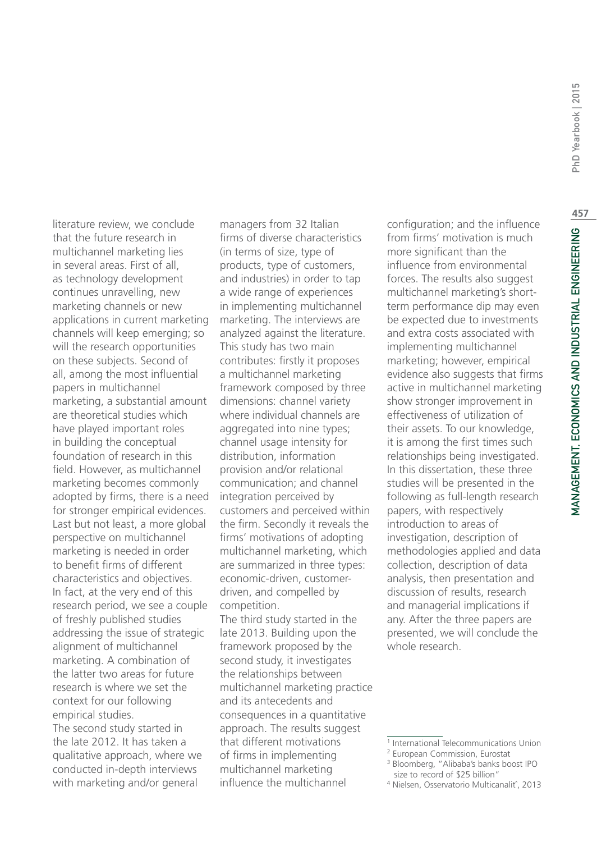literature review, we conclude that the future research in multichannel marketing lies in several areas. First of all, as technology development continues unravelling, new marketing channels or new applications in current marketing channels will keep emerging; so will the research opportunities on these subjects. Second of all, among the most influential papers in multichannel marketing, a substantial amount are theoretical studies which have played important roles in building the conceptual foundation of research in this field. However, as multichannel marketing becomes commonly adopted by firms, there is a need for stronger empirical evidences. Last but not least, a more global perspective on multichannel marketing is needed in order to benefit firms of different characteristics and objectives. In fact, at the very end of this research period, we see a couple of freshly published studies addressing the issue of strategic alignment of multichannel marketing. A combination of the latter two areas for future research is where we set the context for our following empirical studies. The second study started in

the late 2012. It has taken a qualitative approach, where we conducted in-depth interviews with marketing and/or general

managers from 32 Italian firms of diverse characteristics (in terms of size, type of products, type of customers, and industries) in order to tap a wide range of experiences in implementing multichannel marketing. The interviews are analyzed against the literature. This study has two main contributes: firstly it proposes a multichannel marketing framework composed by three dimensions: channel variety where individual channels are aggregated into nine types; channel usage intensity for distribution, information provision and/or relational communication; and channel integration perceived by customers and perceived within the firm. Secondly it reveals the firms' motivations of adopting multichannel marketing, which are summarized in three types: economic-driven, customerdriven, and compelled by competition.

The third study started in the late 2013. Building upon the framework proposed by the second study, it investigates the relationships between multichannel marketing practice and its antecedents and consequences in a quantitative approach. The results suggest that different motivations of firms in implementing multichannel marketing influence the multichannel

configuration; and the influence from firms' motivation is much more significant than the influence from environmental forces. The results also suggest multichannel marketing's shortterm performance dip may even be expected due to investments and extra costs associated with implementing multichannel marketing; however, empirical evidence also suggests that firms active in multichannel marketing show stronger improvement in effectiveness of utilization of their assets. To our knowledge, it is among the first times such relationships being investigated. In this dissertation, these three studies will be presented in the following as full-length research papers, with respectively introduction to areas of investigation, description of methodologies applied and data collection, description of data analysis, then presentation and discussion of results, research and managerial implications if any. After the three papers are presented, we will conclude the whole research.

<sup>-&</sup>lt;br>1 International Telecommunications Union

<sup>2</sup> European Commission, Eurostat

<sup>3</sup> Bloomberg, "Alibaba's banks boost IPO size to record of \$25 billion"

<sup>4</sup> Nielsen, Osservatorio Multicanalit<sup>o</sup>, 2013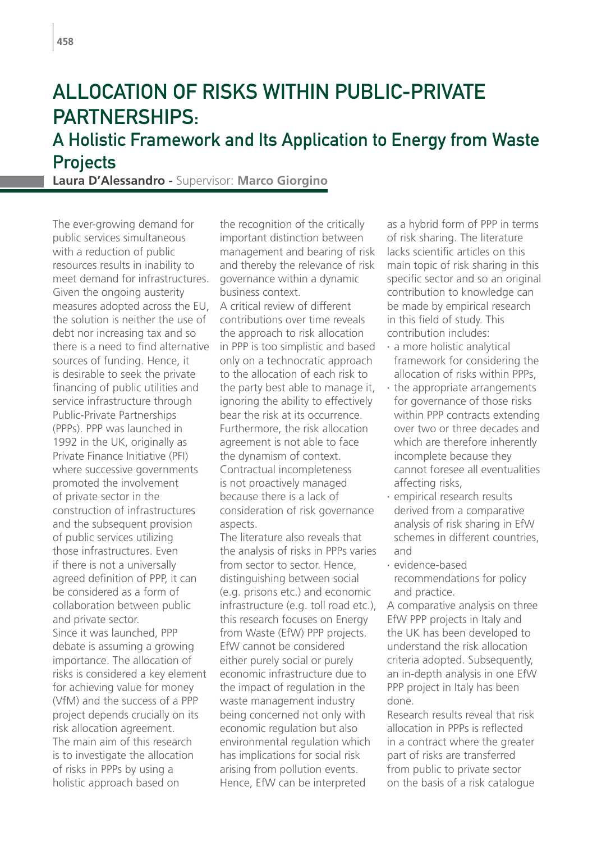## ALLOCATION OF RISKS WITHIN PUBLIC-PRIVATE PARTNERSHIPS:

## A Holistic Framework and Its Application to Energy from Waste **Projects**

**Laura D'Alessandro -** Supervisor: **Marco Giorgino**

The ever-growing demand for public services simultaneous with a reduction of public resources results in inability to meet demand for infrastructures. Given the ongoing austerity measures adopted across the EU, the solution is neither the use of debt nor increasing tax and so there is a need to find alternative sources of funding. Hence, it is desirable to seek the private financing of public utilities and service infrastructure through Public-Private Partnerships (PPPs). PPP was launched in 1992 in the UK, originally as Private Finance Initiative (PFI) where successive governments promoted the involvement of private sector in the construction of infrastructures and the subsequent provision of public services utilizing those infrastructures. Even if there is not a universally agreed definition of PPP, it can be considered as a form of collaboration between public and private sector. Since it was launched, PPP debate is assuming a growing importance. The allocation of risks is considered a key element for achieving value for money (VfM) and the success of a PPP project depends crucially on its risk allocation agreement. The main aim of this research is to investigate the allocation of risks in PPPs by using a holistic approach based on

the recognition of the critically important distinction between management and bearing of risk and thereby the relevance of risk governance within a dynamic business context.

A critical review of different contributions over time reveals the approach to risk allocation in PPP is too simplistic and based only on a technocratic approach to the allocation of each risk to the party best able to manage it, ignoring the ability to effectively bear the risk at its occurrence. Furthermore, the risk allocation agreement is not able to face the dynamism of context. Contractual incompleteness is not proactively managed because there is a lack of consideration of risk governance aspects.

The literature also reveals that the analysis of risks in PPPs varies from sector to sector. Hence, distinguishing between social (e.g. prisons etc.) and economic infrastructure (e.g. toll road etc.), this research focuses on Energy from Waste (EfW) PPP projects. EfW cannot be considered either purely social or purely economic infrastructure due to the impact of regulation in the waste management industry being concerned not only with economic regulation but also environmental regulation which has implications for social risk arising from pollution events. Hence, EfW can be interpreted

as a hybrid form of PPP in terms of risk sharing. The literature lacks scientific articles on this main topic of risk sharing in this specific sector and so an original contribution to knowledge can be made by empirical research in this field of study. This contribution includes:

- ∙ a more holistic analytical framework for considering the allocation of risks within PPPs,
- ∙ the appropriate arrangements for governance of those risks within PPP contracts extending over two or three decades and which are therefore inherently incomplete because they cannot foresee all eventualities affecting risks,
- ∙ empirical research results derived from a comparative analysis of risk sharing in EfW schemes in different countries, and
- ∙ evidence-based recommendations for policy and practice.

A comparative analysis on three EfW PPP projects in Italy and the UK has been developed to understand the risk allocation criteria adopted. Subsequently, an in-depth analysis in one EfW PPP project in Italy has been done.

Research results reveal that risk allocation in PPPs is reflected in a contract where the greater part of risks are transferred from public to private sector on the basis of a risk catalogue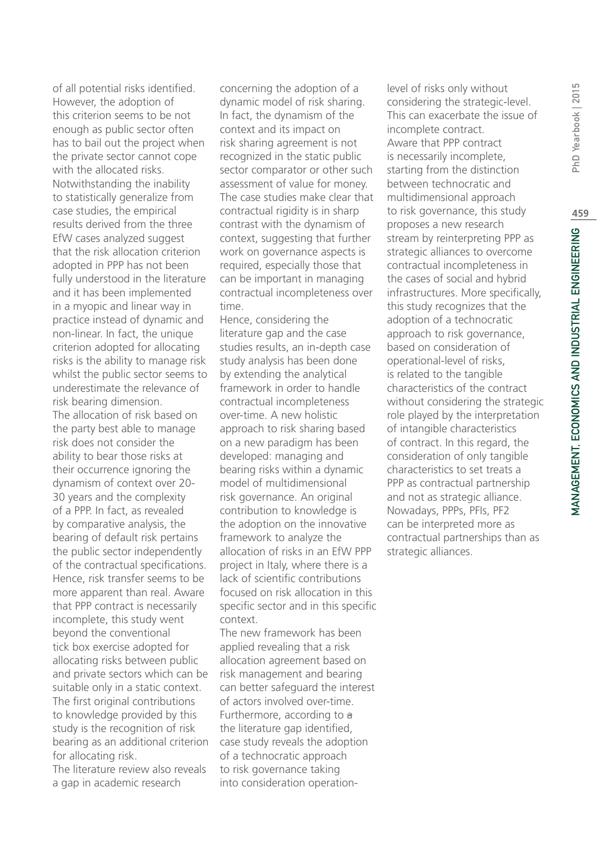MANAGEMENT, ECONOMICS AND INDUSTRIAL ENGINEERING PhD Yearbook | 2015 **459**MANAGEMENT, ECONOMICS AND INDUSTRIAL ENGINEERING

of all potential risks identified. However, the adoption of this criterion seems to be not enough as public sector often has to bail out the project when the private sector cannot cope with the allocated risks. Notwithstanding the inability to statistically generalize from case studies, the empirical results derived from the three EfW cases analyzed suggest that the risk allocation criterion adopted in PPP has not been fully understood in the literature and it has been implemented in a myopic and linear way in practice instead of dynamic and non-linear. In fact, the unique criterion adopted for allocating risks is the ability to manage risk whilst the public sector seems to underestimate the relevance of risk bearing dimension. The allocation of risk based on the party best able to manage risk does not consider the ability to bear those risks at their occurrence ignoring the dynamism of context over 20- 30 years and the complexity of a PPP. In fact, as revealed by comparative analysis, the bearing of default risk pertains the public sector independently of the contractual specifications. Hence, risk transfer seems to be more apparent than real. Aware that PPP contract is necessarily incomplete, this study went beyond the conventional tick box exercise adopted for allocating risks between public and private sectors which can be suitable only in a static context. The first original contributions to knowledge provided by this study is the recognition of risk bearing as an additional criterion for allocating risk. The literature review also reveals

a gap in academic research

concerning the adoption of a dynamic model of risk sharing. In fact, the dynamism of the context and its impact on risk sharing agreement is not recognized in the static public sector comparator or other such assessment of value for money. The case studies make clear that contractual rigidity is in sharp contrast with the dynamism of context, suggesting that further work on governance aspects is required, especially those that can be important in managing contractual incompleteness over time.

Hence, considering the literature gap and the case studies results, an in-depth case study analysis has been done by extending the analytical framework in order to handle contractual incompleteness over-time. A new holistic approach to risk sharing based on a new paradigm has been developed: managing and bearing risks within a dynamic model of multidimensional risk governance. An original contribution to knowledge is the adoption on the innovative framework to analyze the allocation of risks in an EfW PPP project in Italy, where there is a lack of scientific contributions focused on risk allocation in this specific sector and in this specific context.

The new framework has been applied revealing that a risk allocation agreement based on risk management and bearing can better safeguard the interest of actors involved over-time. Furthermore, according to a the literature gap identified, case study reveals the adoption of a technocratic approach to risk governance taking into consideration operationlevel of risks only without considering the strategic-level. This can exacerbate the issue of incomplete contract. Aware that PPP contract is necessarily incomplete, starting from the distinction between technocratic and multidimensional approach to risk governance, this study proposes a new research stream by reinterpreting PPP as strategic alliances to overcome contractual incompleteness in the cases of social and hybrid infrastructures. More specifically, this study recognizes that the adoption of a technocratic approach to risk governance, based on consideration of operational-level of risks, is related to the tangible characteristics of the contract without considering the strategic role played by the interpretation of intangible characteristics of contract. In this regard, the consideration of only tangible characteristics to set treats a PPP as contractual partnership and not as strategic alliance. Nowadays, PPPs, PFIs, PF2 can be interpreted more as contractual partnerships than as strategic alliances.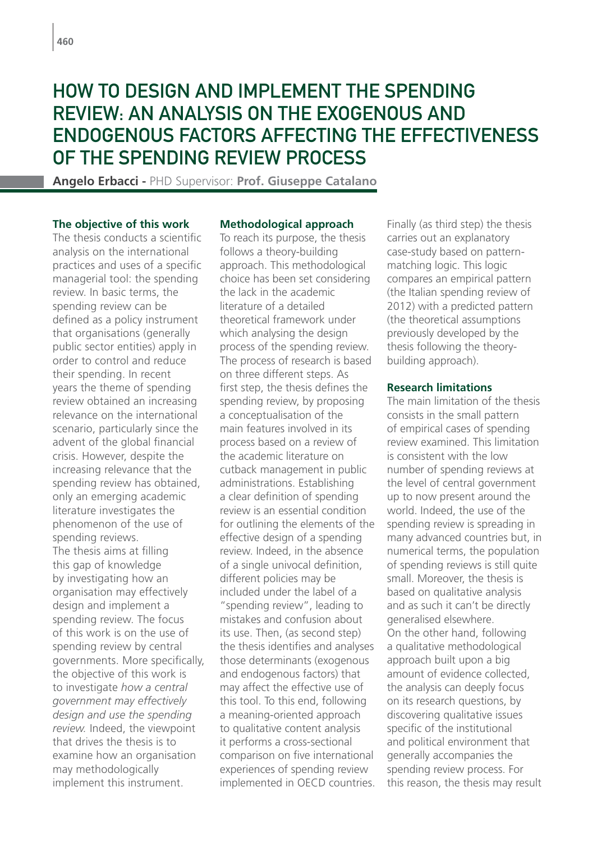## HOW TO DESIGN AND IMPLEMENT THE SPENDING REVIEW: AN ANALYSIS ON THE EXOGENOUS AND ENDOGENOUS FACTORS AFFECTING THE EFFECTIVENESS OF THE SPENDING REVIEW PROCESS

**Angelo Erbacci -** PHD Supervisor: **Prof. Giuseppe Catalano**

### **The objective of this work**

The thesis conducts a scientific analysis on the international practices and uses of a specific managerial tool: the spending review. In basic terms, the spending review can be defined as a policy instrument that organisations (generally public sector entities) apply in order to control and reduce their spending. In recent years the theme of spending review obtained an increasing relevance on the international scenario, particularly since the advent of the global financial crisis. However, despite the increasing relevance that the spending review has obtained, only an emerging academic literature investigates the phenomenon of the use of spending reviews. The thesis aims at filling this gap of knowledge by investigating how an organisation may effectively design and implement a spending review. The focus of this work is on the use of spending review by central governments. More specifically, the objective of this work is to investigate *how a central government may effectively design and use the spending review.* Indeed, the viewpoint that drives the thesis is to examine how an organisation may methodologically implement this instrument.

#### **Methodological approach**

To reach its purpose, the thesis follows a theory-building approach. This methodological choice has been set considering the lack in the academic literature of a detailed theoretical framework under which analysing the design process of the spending review. The process of research is based on three different steps. As first step, the thesis defines the spending review, by proposing a conceptualisation of the main features involved in its process based on a review of the academic literature on cutback management in public administrations. Establishing a clear definition of spending review is an essential condition for outlining the elements of the effective design of a spending review. Indeed, in the absence of a single univocal definition, different policies may be included under the label of a "spending review", leading to mistakes and confusion about its use. Then, (as second step) the thesis identifies and analyses those determinants (exogenous and endogenous factors) that may affect the effective use of this tool. To this end, following a meaning-oriented approach to qualitative content analysis it performs a cross-sectional comparison on five international experiences of spending review implemented in OECD countries.

Finally (as third step) the thesis carries out an explanatory case-study based on patternmatching logic. This logic compares an empirical pattern (the Italian spending review of 2012) with a predicted pattern (the theoretical assumptions previously developed by the thesis following the theorybuilding approach).

## **Research limitations**

The main limitation of the thesis consists in the small pattern of empirical cases of spending review examined. This limitation is consistent with the low number of spending reviews at the level of central government up to now present around the world. Indeed, the use of the spending review is spreading in many advanced countries but, in numerical terms, the population of spending reviews is still quite small. Moreover, the thesis is based on qualitative analysis and as such it can't be directly generalised elsewhere. On the other hand, following a qualitative methodological approach built upon a big amount of evidence collected, the analysis can deeply focus on its research questions, by discovering qualitative issues specific of the institutional and political environment that generally accompanies the spending review process. For this reason, the thesis may result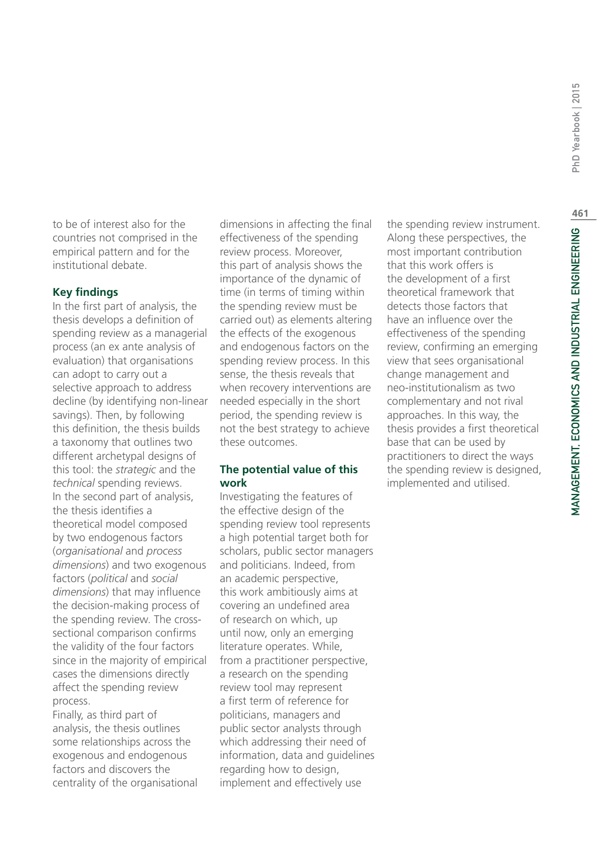to be of interest also for the countries not comprised in the empirical pattern and for the institutional debate.

### **Key findings**

In the first part of analysis, the thesis develops a definition of spending review as a managerial process (an ex ante analysis of evaluation) that organisations can adopt to carry out a selective approach to address decline (by identifying non-linear savings). Then, by following this definition, the thesis builds a taxonomy that outlines two different archetypal designs of this tool: the *strategic* and the *technical* spending reviews. In the second part of analysis, the thesis identifies a theoretical model composed by two endogenous factors (*organisational* and *process dimensions*) and two exogenous factors (*political* and *social dimensions*) that may influence the decision-making process of the spending review. The crosssectional comparison confirms the validity of the four factors since in the majority of empirical cases the dimensions directly affect the spending review process.

Finally, as third part of analysis, the thesis outlines some relationships across the exogenous and endogenous factors and discovers the centrality of the organisational dimensions in affecting the final effectiveness of the spending review process. Moreover, this part of analysis shows the importance of the dynamic of time (in terms of timing within the spending review must be carried out) as elements altering the effects of the exogenous and endogenous factors on the spending review process. In this sense, the thesis reveals that when recovery interventions are needed especially in the short period, the spending review is not the best strategy to achieve these outcomes.

## **The potential value of this work**

Investigating the features of the effective design of the spending review tool represents a high potential target both for scholars, public sector managers and politicians. Indeed, from an academic perspective, this work ambitiously aims at covering an undefined area of research on which, up until now, only an emerging literature operates. While, from a practitioner perspective, a research on the spending review tool may represent a first term of reference for politicians, managers and public sector analysts through which addressing their need of information, data and guidelines regarding how to design, implement and effectively use

the spending review instrument. Along these perspectives, the most important contribution that this work offers is the development of a first theoretical framework that detects those factors that have an influence over the effectiveness of the spending review, confirming an emerging view that sees organisational change management and neo-institutionalism as two complementary and not rival approaches. In this way, the thesis provides a first theoretical base that can be used by practitioners to direct the ways the spending review is designed, implemented and utilised.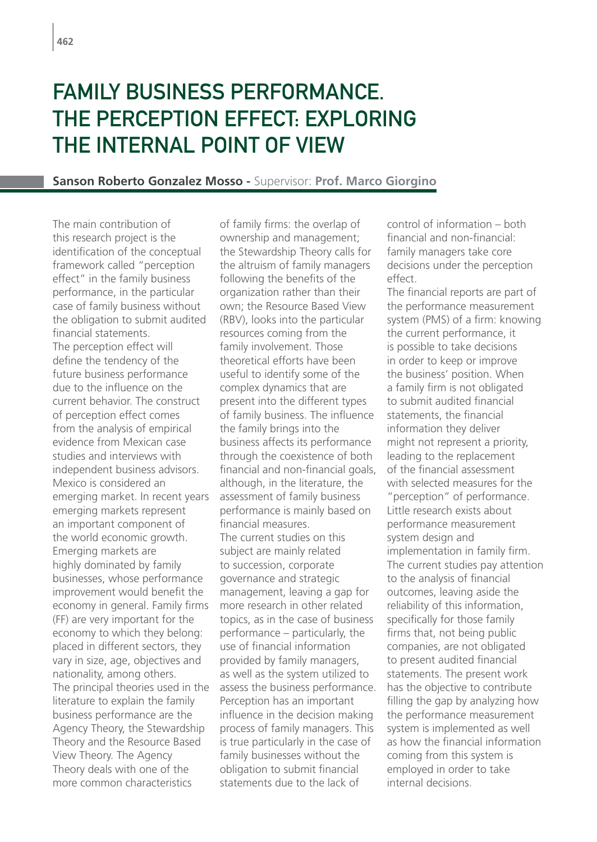# FAMILY BUSINESS PERFORMANCE. THE PERCEPTION EFFECT: EXPLORING THE INTERNAL POINT OF VIEW

## **Sanson Roberto Gonzalez Mosso -** Supervisor: **Prof. Marco Giorgino**

The main contribution of this research project is the identification of the conceptual framework called "perception effect" in the family business performance, in the particular case of family business without the obligation to submit audited financial statements. The perception effect will define the tendency of the future business performance due to the influence on the current behavior. The construct of perception effect comes from the analysis of empirical evidence from Mexican case studies and interviews with independent business advisors. Mexico is considered an emerging market. In recent years emerging markets represent an important component of the world economic growth. Emerging markets are highly dominated by family businesses, whose performance improvement would benefit the economy in general. Family firms (FF) are very important for the economy to which they belong: placed in different sectors, they vary in size, age, objectives and nationality, among others. The principal theories used in the literature to explain the family business performance are the Agency Theory, the Stewardship Theory and the Resource Based View Theory. The Agency Theory deals with one of the more common characteristics

of family firms: the overlap of ownership and management; the Stewardship Theory calls for the altruism of family managers following the benefits of the organization rather than their own; the Resource Based View (RBV), looks into the particular resources coming from the family involvement. Those theoretical efforts have been useful to identify some of the complex dynamics that are present into the different types of family business. The influence the family brings into the business affects its performance through the coexistence of both financial and non-financial goals, although, in the literature, the assessment of family business performance is mainly based on financial measures. The current studies on this subject are mainly related to succession, corporate governance and strategic management, leaving a gap for more research in other related topics, as in the case of business performance – particularly, the use of financial information provided by family managers, as well as the system utilized to assess the business performance. Perception has an important influence in the decision making process of family managers. This is true particularly in the case of family businesses without the obligation to submit financial statements due to the lack of

control of information – both financial and non-financial: family managers take core decisions under the perception effect.

The financial reports are part of the performance measurement system (PMS) of a firm: knowing the current performance, it is possible to take decisions in order to keep or improve the business' position. When a family firm is not obligated to submit audited financial statements, the financial information they deliver might not represent a priority, leading to the replacement of the financial assessment with selected measures for the "perception" of performance. Little research exists about performance measurement system design and implementation in family firm. The current studies pay attention to the analysis of financial outcomes, leaving aside the reliability of this information, specifically for those family firms that, not being public companies, are not obligated to present audited financial statements. The present work has the objective to contribute filling the gap by analyzing how the performance measurement system is implemented as well as how the financial information coming from this system is employed in order to take internal decisions.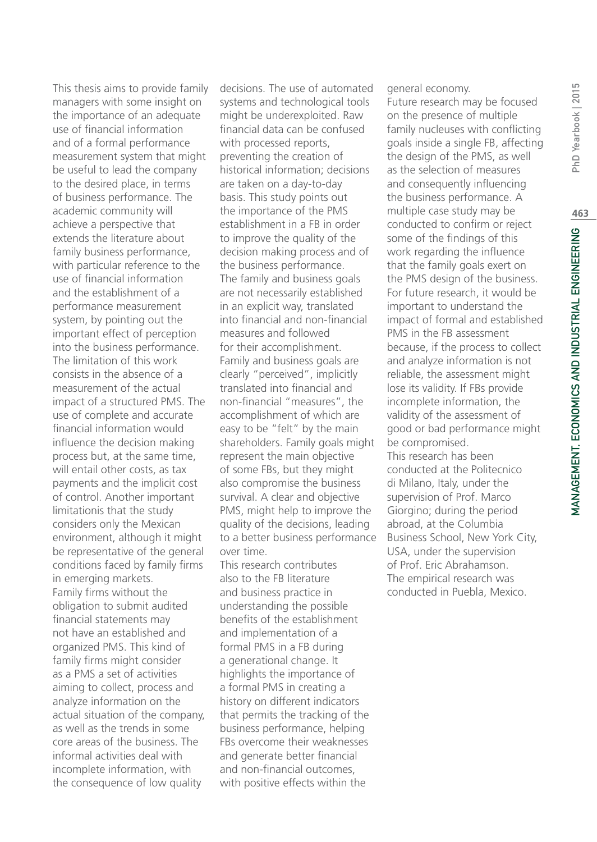This thesis aims to provide family managers with some insight on the importance of an adequate use of financial information and of a formal performance measurement system that might be useful to lead the company to the desired place, in terms of business performance. The academic community will achieve a perspective that extends the literature about family business performance, with particular reference to the use of financial information and the establishment of a performance measurement system, by pointing out the important effect of perception into the business performance. The limitation of this work consists in the absence of a measurement of the actual impact of a structured PMS. The use of complete and accurate financial information would influence the decision making process but, at the same time, will entail other costs, as tax payments and the implicit cost of control. Another important limitationis that the study considers only the Mexican environment, although it might be representative of the general conditions faced by family firms in emerging markets. Family firms without the obligation to submit audited financial statements may not have an established and organized PMS. This kind of family firms might consider as a PMS a set of activities aiming to collect, process and analyze information on the actual situation of the company, as well as the trends in some core areas of the business. The informal activities deal with incomplete information, with the consequence of low quality

decisions. The use of automated systems and technological tools might be underexploited. Raw financial data can be confused with processed reports, preventing the creation of historical information; decisions are taken on a day-to-day basis. This study points out the importance of the PMS establishment in a FB in order to improve the quality of the decision making process and of the business performance. The family and business goals are not necessarily established in an explicit way, translated into financial and non-financial measures and followed for their accomplishment. Family and business goals are clearly "perceived", implicitly translated into financial and non-financial "measures", the accomplishment of which are easy to be "felt" by the main shareholders. Family goals might represent the main objective of some FBs, but they might also compromise the business survival. A clear and objective PMS, might help to improve the quality of the decisions, leading to a better business performance over time.

This research contributes also to the FB literature and business practice in understanding the possible benefits of the establishment and implementation of a formal PMS in a FB during a generational change. It highlights the importance of a formal PMS in creating a history on different indicators that permits the tracking of the business performance, helping FBs overcome their weaknesses and generate better financial and non-financial outcomes. with positive effects within the

general economy.

Future research may be focused on the presence of multiple family nucleuses with conflicting goals inside a single FB, affecting the design of the PMS, as well as the selection of measures and consequently influencing the business performance. A multiple case study may be conducted to confirm or reject some of the findings of this work regarding the influence that the family goals exert on the PMS design of the business. For future research, it would be important to understand the impact of formal and established PMS in the FB assessment because, if the process to collect and analyze information is not reliable, the assessment might lose its validity. If FBs provide incomplete information, the validity of the assessment of good or bad performance might be compromised. This research has been conducted at the Politecnico di Milano, Italy, under the supervision of Prof. Marco Giorgino; during the period abroad, at the Columbia Business School, New York City, USA, under the supervision of Prof. Eric Abrahamson. The empirical research was conducted in Puebla, Mexico.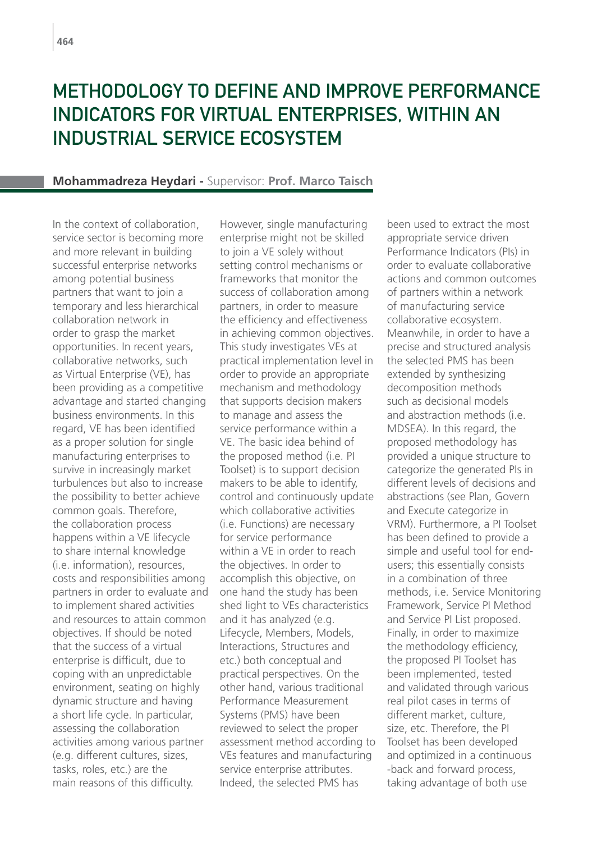## **464**

## METHODOLOGY TO DEFINE AND IMPROVE PERFORMANCE INDICATORS FOR VIRTUAL ENTERPRISES, WITHIN AN INDUSTRIAL SERVICE ECOSYSTEM

## **Mohammadreza Heydari -** Supervisor: **Prof. Marco Taisch**

In the context of collaboration, service sector is becoming more and more relevant in building successful enterprise networks among potential business partners that want to join a temporary and less hierarchical collaboration network in order to grasp the market opportunities. In recent years, collaborative networks, such as Virtual Enterprise (VE), has been providing as a competitive advantage and started changing business environments. In this regard, VE has been identified as a proper solution for single manufacturing enterprises to survive in increasingly market turbulences but also to increase the possibility to better achieve common goals. Therefore, the collaboration process happens within a VE lifecycle to share internal knowledge (i.e. information), resources, costs and responsibilities among partners in order to evaluate and to implement shared activities and resources to attain common objectives. If should be noted that the success of a virtual enterprise is difficult, due to coping with an unpredictable environment, seating on highly dynamic structure and having a short life cycle. In particular, assessing the collaboration activities among various partner (e.g. different cultures, sizes, tasks, roles, etc.) are the main reasons of this difficulty.

However, single manufacturing enterprise might not be skilled to join a VE solely without setting control mechanisms or frameworks that monitor the success of collaboration among partners, in order to measure the efficiency and effectiveness in achieving common objectives. This study investigates VEs at practical implementation level in order to provide an appropriate mechanism and methodology that supports decision makers to manage and assess the service performance within a VE. The basic idea behind of the proposed method (i.e. PI Toolset) is to support decision makers to be able to identify, control and continuously update which collaborative activities (i.e. Functions) are necessary for service performance within a VE in order to reach the objectives. In order to accomplish this objective, on one hand the study has been shed light to VEs characteristics and it has analyzed (e.g. Lifecycle, Members, Models, Interactions, Structures and etc.) both conceptual and practical perspectives. On the other hand, various traditional Performance Measurement Systems (PMS) have been reviewed to select the proper assessment method according to VEs features and manufacturing service enterprise attributes. Indeed, the selected PMS has

been used to extract the most appropriate service driven Performance Indicators (PIs) in order to evaluate collaborative actions and common outcomes of partners within a network of manufacturing service collaborative ecosystem. Meanwhile, in order to have a precise and structured analysis the selected PMS has been extended by synthesizing decomposition methods such as decisional models and abstraction methods (i.e. MDSEA). In this regard, the proposed methodology has provided a unique structure to categorize the generated PIs in different levels of decisions and abstractions (see Plan, Govern and Execute categorize in VRM). Furthermore, a PI Toolset has been defined to provide a simple and useful tool for endusers; this essentially consists in a combination of three methods, i.e. Service Monitoring Framework, Service PI Method and Service PI List proposed. Finally, in order to maximize the methodology efficiency, the proposed PI Toolset has been implemented, tested and validated through various real pilot cases in terms of different market, culture, size, etc. Therefore, the PI Toolset has been developed and optimized in a continuous -back and forward process, taking advantage of both use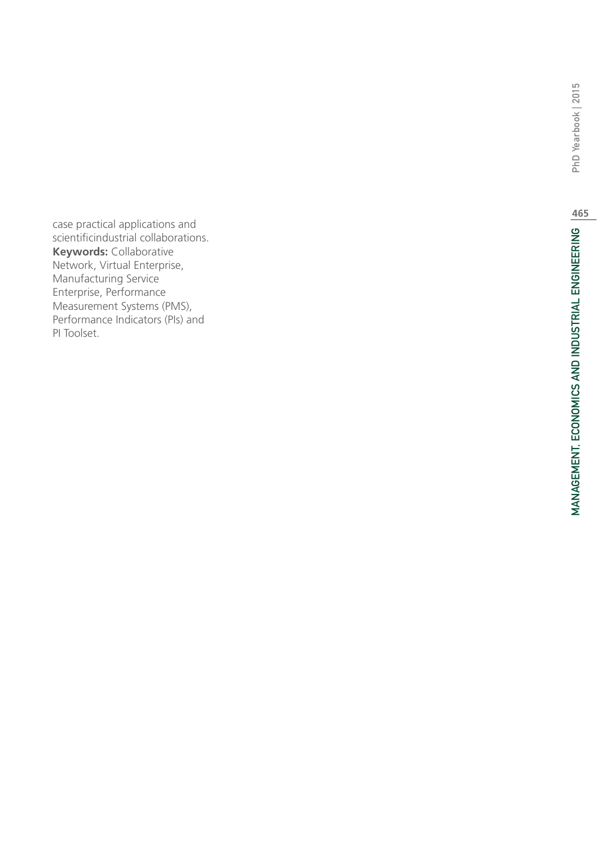case practical applications and scientificindustrial collaborations. **Keywords:** Collaborative Network, Virtual Enterprise, Manufacturing Service Enterprise, Performance Measurement Systems (PMS), Performance Indicators (PIs) and PI Toolset.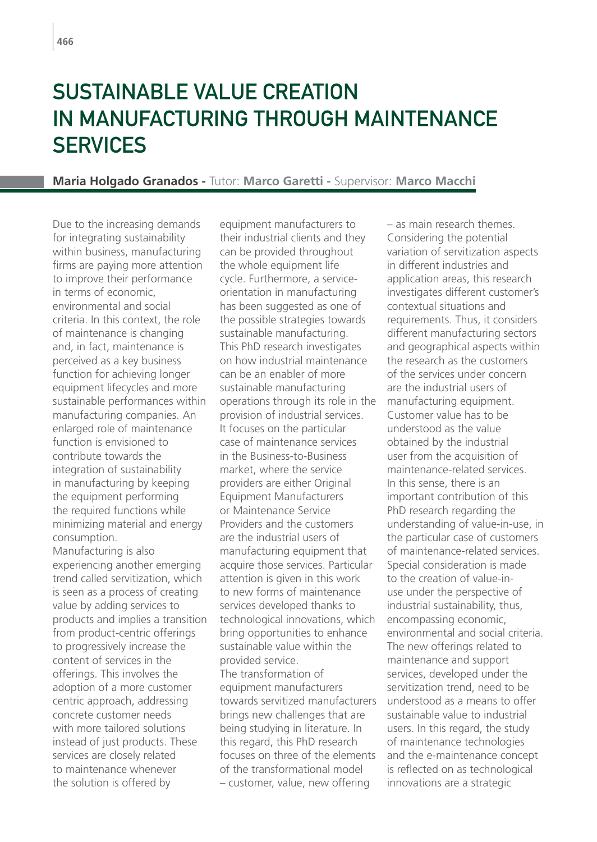# SUSTAINABLE VALUE CREATION IN MANUFACTURING THROUGH MAINTENANCE **SERVICES**

equipment manufacturers to their industrial clients and they can be provided throughout the whole equipment life

## **Maria Holgado Granados -** Tutor: **Marco Garetti -** Supervisor: **Marco Macchi**

Due to the increasing demands for integrating sustainability within business, manufacturing firms are paying more attention to improve their performance in terms of economic, environmental and social criteria. In this context, the role of maintenance is changing and, in fact, maintenance is perceived as a key business function for achieving longer equipment lifecycles and more sustainable performances within manufacturing companies. An enlarged role of maintenance function is envisioned to contribute towards the integration of sustainability in manufacturing by keeping the equipment performing the required functions while minimizing material and energy consumption. Manufacturing is also experiencing another emerging trend called servitization, which is seen as a process of creating value by adding services to products and implies a transition from product-centric offerings to progressively increase the content of services in the offerings. This involves the adoption of a more customer centric approach, addressing concrete customer needs with more tailored solutions instead of just products. These

services are closely related to maintenance whenever the solution is offered by

cycle. Furthermore, a serviceorientation in manufacturing has been suggested as one of the possible strategies towards sustainable manufacturing. This PhD research investigates on how industrial maintenance can be an enabler of more sustainable manufacturing operations through its role in the provision of industrial services. It focuses on the particular case of maintenance services in the Business-to-Business market, where the service providers are either Original Equipment Manufacturers or Maintenance Service Providers and the customers are the industrial users of manufacturing equipment that acquire those services. Particular attention is given in this work to new forms of maintenance services developed thanks to technological innovations, which bring opportunities to enhance sustainable value within the provided service. The transformation of equipment manufacturers towards servitized manufacturers brings new challenges that are being studying in literature. In this regard, this PhD research focuses on three of the elements of the transformational model – customer, value, new offering

– as main research themes. Considering the potential variation of servitization aspects in different industries and application areas, this research investigates different customer's contextual situations and requirements. Thus, it considers different manufacturing sectors and geographical aspects within the research as the customers of the services under concern are the industrial users of manufacturing equipment. Customer value has to be understood as the value obtained by the industrial user from the acquisition of maintenance-related services. In this sense, there is an important contribution of this PhD research regarding the understanding of value-in-use, in the particular case of customers of maintenance-related services. Special consideration is made to the creation of value-inuse under the perspective of industrial sustainability, thus, encompassing economic, environmental and social criteria. The new offerings related to maintenance and support services, developed under the servitization trend, need to be understood as a means to offer sustainable value to industrial users. In this regard, the study of maintenance technologies and the e-maintenance concept is reflected on as technological innovations are a strategic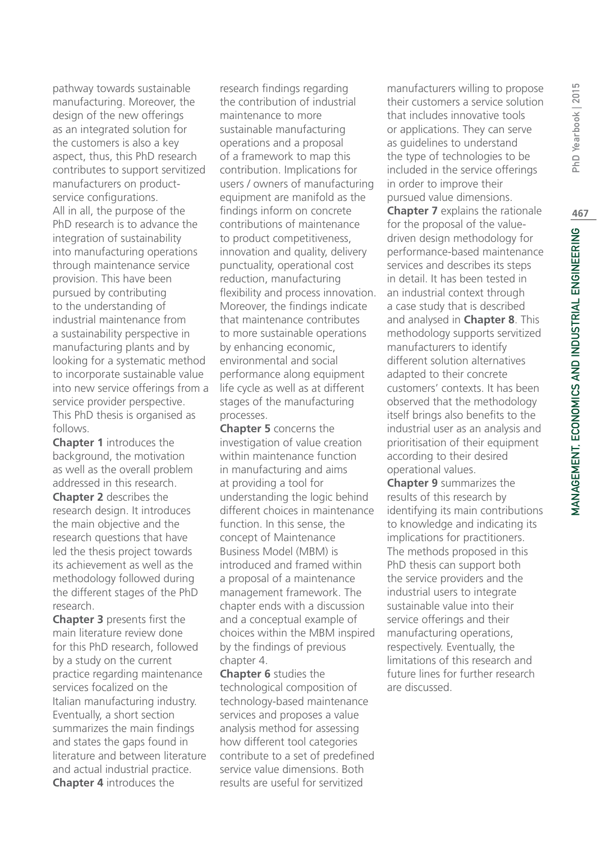pathway towards sustainable manufacturing. Moreover, the design of the new offerings as an integrated solution for the customers is also a key aspect, thus, this PhD research contributes to support servitized manufacturers on productservice configurations. All in all, the purpose of the PhD research is to advance the integration of sustainability into manufacturing operations through maintenance service provision. This have been pursued by contributing to the understanding of industrial maintenance from a sustainability perspective in manufacturing plants and by looking for a systematic method to incorporate sustainable value into new service offerings from a service provider perspective. This PhD thesis is organised as follows.

**Chapter 1** introduces the background, the motivation as well as the overall problem addressed in this research. **Chapter 2** describes the research design. It introduces the main objective and the research questions that have led the thesis project towards its achievement as well as the methodology followed during the different stages of the PhD research.

**Chapter 3** presents first the main literature review done for this PhD research, followed by a study on the current practice regarding maintenance services focalized on the Italian manufacturing industry. Eventually, a short section summarizes the main findings and states the gaps found in literature and between literature and actual industrial practice. **Chapter 4** introduces the

research findings regarding the contribution of industrial maintenance to more sustainable manufacturing operations and a proposal of a framework to map this contribution. Implications for users / owners of manufacturing equipment are manifold as the findings inform on concrete contributions of maintenance to product competitiveness, innovation and quality, delivery punctuality, operational cost reduction, manufacturing flexibility and process innovation. Moreover, the findings indicate that maintenance contributes to more sustainable operations by enhancing economic, environmental and social performance along equipment life cycle as well as at different stages of the manufacturing processes.

**Chapter 5** concerns the investigation of value creation within maintenance function in manufacturing and aims at providing a tool for understanding the logic behind different choices in maintenance function. In this sense, the concept of Maintenance Business Model (MBM) is introduced and framed within a proposal of a maintenance management framework. The chapter ends with a discussion and a conceptual example of choices within the MBM inspired by the findings of previous chapter 4.

**Chapter 6** studies the technological composition of technology-based maintenance services and proposes a value analysis method for assessing how different tool categories contribute to a set of predefined service value dimensions. Both results are useful for servitized

manufacturers willing to propose their customers a service solution that includes innovative tools or applications. They can serve as guidelines to understand the type of technologies to be included in the service offerings in order to improve their pursued value dimensions. **Chapter 7** explains the rationale for the proposal of the valuedriven design methodology for performance-based maintenance services and describes its steps in detail. It has been tested in an industrial context through a case study that is described and analysed in **Chapter 8**. This methodology supports servitized manufacturers to identify different solution alternatives adapted to their concrete customers' contexts. It has been observed that the methodology itself brings also benefits to the industrial user as an analysis and prioritisation of their equipment according to their desired operational values.

**Chapter 9** summarizes the results of this research by identifying its main contributions to knowledge and indicating its implications for practitioners. The methods proposed in this PhD thesis can support both the service providers and the industrial users to integrate sustainable value into their service offerings and their manufacturing operations, respectively. Eventually, the limitations of this research and future lines for further research are discussed.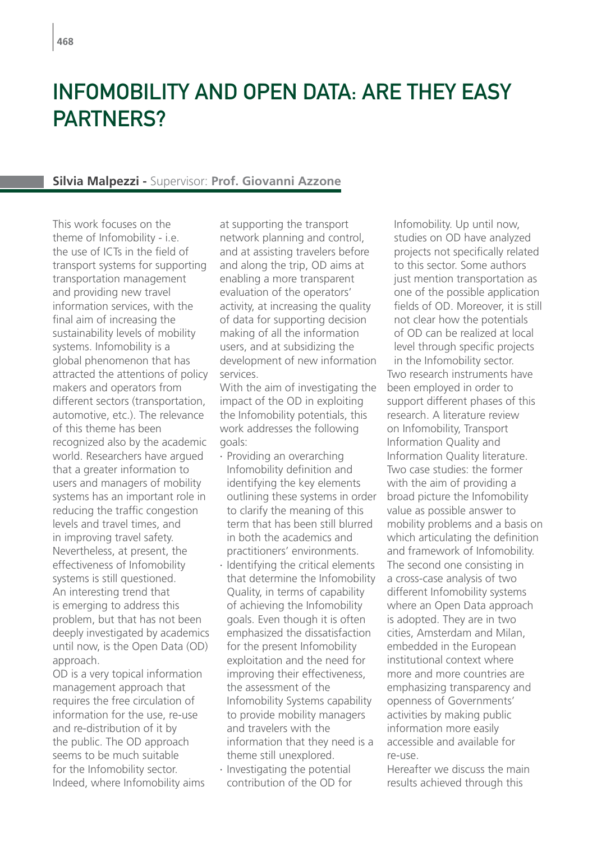## INFOMOBILITY AND OPEN DATA: ARE THEY EASY PARTNERS?

## **Silvia Malpezzi -** Supervisor: **Prof. Giovanni Azzone**

This work focuses on the theme of Infomobility - i.e. the use of ICTs in the field of transport systems for supporting transportation management and providing new travel information services, with the final aim of increasing the sustainability levels of mobility systems. Infomobility is a global phenomenon that has attracted the attentions of policy makers and operators from different sectors (transportation, automotive, etc.). The relevance of this theme has been recognized also by the academic world. Researchers have argued that a greater information to users and managers of mobility systems has an important role in reducing the traffic congestion levels and travel times, and in improving travel safety. Nevertheless, at present, the effectiveness of Infomobility systems is still questioned. An interesting trend that is emerging to address this problem, but that has not been deeply investigated by academics until now, is the Open Data (OD) approach.

OD is a very topical information management approach that requires the free circulation of information for the use, re-use and re-distribution of it by the public. The OD approach seems to be much suitable for the Infomobility sector. Indeed, where Infomobility aims at supporting the transport network planning and control, and at assisting travelers before and along the trip, OD aims at enabling a more transparent evaluation of the operators' activity, at increasing the quality of data for supporting decision making of all the information users, and at subsidizing the development of new information services.

With the aim of investigating the impact of the OD in exploiting the Infomobility potentials, this work addresses the following goals:

- ∙ Providing an overarching Infomobility definition and identifying the key elements outlining these systems in order to clarify the meaning of this term that has been still blurred in both the academics and practitioners' environments.
- ∙ Identifying the critical elements that determine the Infomobility Quality, in terms of capability of achieving the Infomobility goals. Even though it is often emphasized the dissatisfaction for the present Infomobility exploitation and the need for improving their effectiveness, the assessment of the Infomobility Systems capability to provide mobility managers and travelers with the information that they need is a theme still unexplored.
- ∙ Investigating the potential contribution of the OD for

Infomobility. Up until now, studies on OD have analyzed projects not specifically related to this sector. Some authors just mention transportation as one of the possible application fields of OD. Moreover, it is still not clear how the potentials of OD can be realized at local level through specific projects in the Infomobility sector. Two research instruments have been employed in order to support different phases of this research. A literature review on Infomobility, Transport Information Quality and Information Quality literature. Two case studies: the former with the aim of providing a broad picture the Infomobility value as possible answer to mobility problems and a basis on which articulating the definition and framework of Infomobility. The second one consisting in a cross-case analysis of two different Infomobility systems where an Open Data approach is adopted. They are in two cities, Amsterdam and Milan, embedded in the European institutional context where more and more countries are emphasizing transparency and openness of Governments' activities by making public information more easily accessible and available for re-use.

Hereafter we discuss the main results achieved through this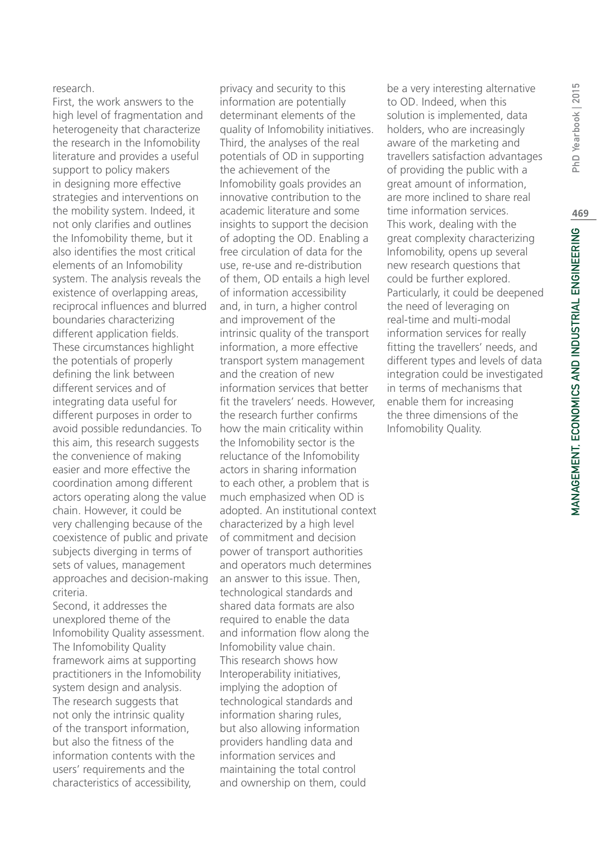research.

First, the work answers to the high level of fragmentation and heterogeneity that characterize the research in the Infomobility literature and provides a useful support to policy makers in designing more effective strategies and interventions on the mobility system. Indeed, it not only clarifies and outlines the Infomobility theme, but it also identifies the most critical elements of an Infomobility system. The analysis reveals the existence of overlapping areas, reciprocal influences and blurred boundaries characterizing different application fields. These circumstances highlight the potentials of properly defining the link between different services and of integrating data useful for different purposes in order to avoid possible redundancies. To this aim, this research suggests the convenience of making easier and more effective the coordination among different actors operating along the value chain. However, it could be very challenging because of the coexistence of public and private subjects diverging in terms of sets of values, management approaches and decision-making criteria.

Second, it addresses the unexplored theme of the Infomobility Quality assessment. The Infomobility Quality framework aims at supporting practitioners in the Infomobility system design and analysis. The research suggests that not only the intrinsic quality of the transport information, but also the fitness of the information contents with the users' requirements and the characteristics of accessibility,

privacy and security to this information are potentially determinant elements of the quality of Infomobility initiatives. Third, the analyses of the real potentials of OD in supporting the achievement of the Infomobility goals provides an innovative contribution to the academic literature and some insights to support the decision of adopting the OD. Enabling a free circulation of data for the use, re-use and re-distribution of them, OD entails a high level of information accessibility and, in turn, a higher control and improvement of the intrinsic quality of the transport information, a more effective transport system management and the creation of new information services that better fit the travelers' needs. However the research further confirms how the main criticality within the Infomobility sector is the reluctance of the Infomobility actors in sharing information to each other, a problem that is much emphasized when OD is adopted. An institutional context characterized by a high level of commitment and decision power of transport authorities and operators much determines an answer to this issue. Then, technological standards and shared data formats are also required to enable the data and information flow along the Infomobility value chain. This research shows how Interoperability initiatives, implying the adoption of technological standards and information sharing rules, but also allowing information providers handling data and information services and maintaining the total control and ownership on them, could

be a very interesting alternative to OD. Indeed, when this solution is implemented, data holders, who are increasingly aware of the marketing and travellers satisfaction advantages of providing the public with a great amount of information, are more inclined to share real time information services. This work, dealing with the great complexity characterizing Infomobility, opens up several new research questions that could be further explored. Particularly, it could be deepened the need of leveraging on real-time and multi-modal information services for really fitting the travellers' needs, and different types and levels of data integration could be investigated in terms of mechanisms that enable them for increasing the three dimensions of the Infomobility Quality.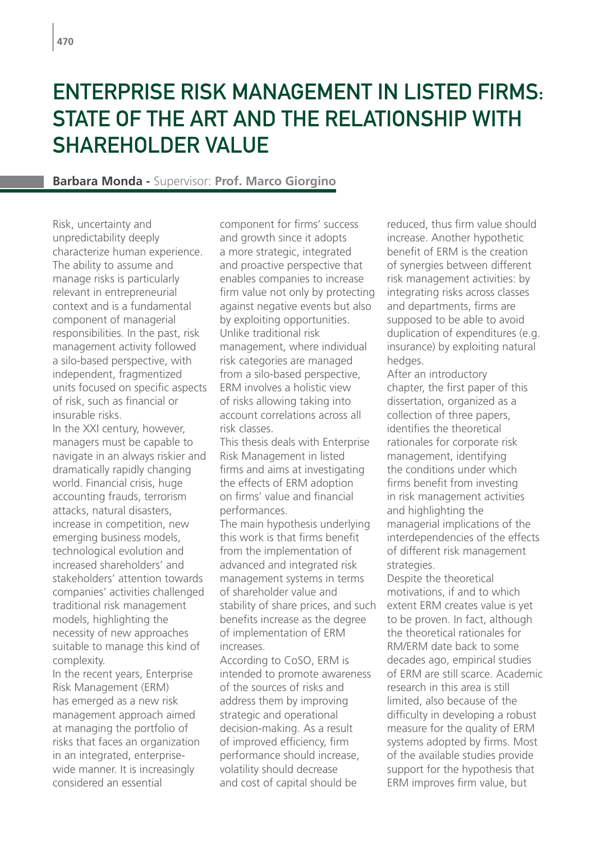## **470**

# ENTERPRISE RISK MANAGEMENT IN LISTED FIRMS: STATE OF THE ART AND THE RELATIONSHIP WITH SHAREHOLDER VALUE

## **Barbara Monda -** Supervisor: **Prof. Marco Giorgino**

Risk, uncertainty and unpredictability deeply characterize human experience. The ability to assume and manage risks is particularly relevant in entrepreneurial context and is a fundamental component of managerial responsibilities. In the past, risk management activity followed a silo-based perspective, with independent, fragmentized units focused on specific aspects of risk, such as financial or insurable risks.

In the XXI century, however, managers must be capable to navigate in an always riskier and dramatically rapidly changing world. Financial crisis, huge accounting frauds, terrorism attacks, natural disasters, increase in competition, new emerging business models, technological evolution and increased shareholders' and stakeholders' attention towards companies' activities challenged traditional risk management models, highlighting the necessity of new approaches suitable to manage this kind of complexity.

In the recent years, Enterprise Risk Management (ERM) has emerged as a new risk management approach aimed at managing the portfolio of risks that faces an organization in an integrated, enterprisewide manner. It is increasingly considered an essential

component for firms' success and growth since it adopts a more strategic, integrated and proactive perspective that enables companies to increase firm value not only by protecting against negative events but also by exploiting opportunities. Unlike traditional risk management, where individual risk categories are managed from a silo-based perspective, ERM involves a holistic view of risks allowing taking into account correlations across all risk classes.

This thesis deals with Enterprise Risk Management in listed firms and aims at investigating the effects of ERM adoption on firms' value and financial performances.

The main hypothesis underlying this work is that firms benefit from the implementation of advanced and integrated risk management systems in terms of shareholder value and stability of share prices, and such benefits increase as the degree of implementation of ERM increases.

According to CoSO, ERM is intended to promote awareness of the sources of risks and address them by improving strategic and operational decision-making. As a result of improved efficiency, firm performance should increase, volatility should decrease and cost of capital should be

reduced, thus firm value should increase. Another hypothetic benefit of ERM is the creation of synergies between different risk management activities: by integrating risks across classes and departments, firms are supposed to be able to avoid duplication of expenditures (e.g. insurance) by exploiting natural hedges.

After an introductory chapter, the first paper of this dissertation, organized as a collection of three papers, identifies the theoretical rationales for corporate risk management, identifying the conditions under which firms benefit from investing in risk management activities and highlighting the managerial implications of the interdependencies of the effects of different risk management strategies.

Despite the theoretical motivations, if and to which extent ERM creates value is yet to be proven. In fact, although the theoretical rationales for RM/ERM date back to some decades ago, empirical studies of ERM are still scarce. Academic research in this area is still limited, also because of the difficulty in developing a robust measure for the quality of ERM systems adopted by firms. Most of the available studies provide support for the hypothesis that ERM improves firm value, but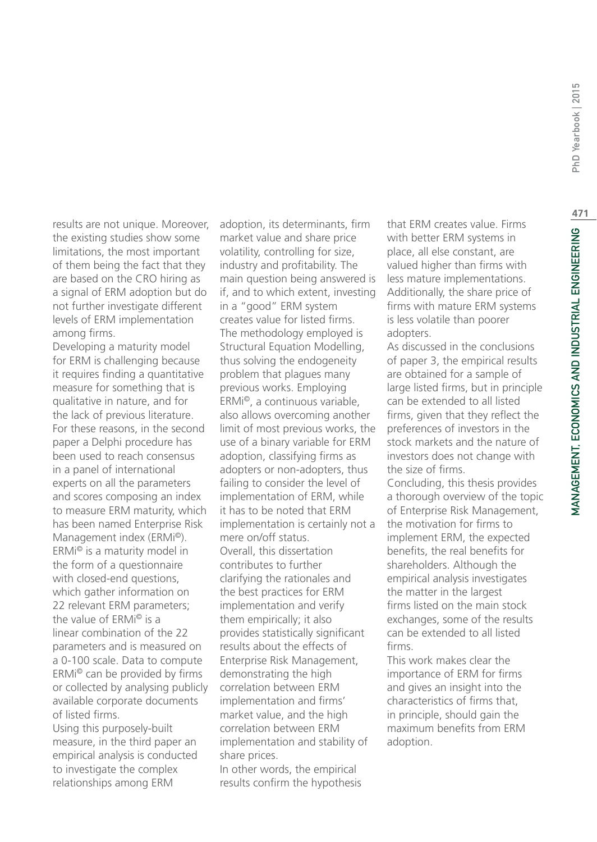results are not unique. Moreover, the existing studies show some limitations, the most important of them being the fact that they are based on the CRO hiring as a signal of ERM adoption but do not further investigate different levels of ERM implementation among firms.

Developing a maturity model for ERM is challenging because it requires finding a quantitative measure for something that is qualitative in nature, and for the lack of previous literature. For these reasons, in the second paper a Delphi procedure has been used to reach consensus in a panel of international experts on all the parameters and scores composing an index to measure ERM maturity, which has been named Enterprise Risk Management index (ERMi©). ERMi© is a maturity model in the form of a questionnaire with closed-end questions, which gather information on 22 relevant ERM parameters; the value of ERMi© is a linear combination of the 22 parameters and is measured on a 0-100 scale. Data to compute  $ERMi<sup>°</sup>$  can be provided by firms or collected by analysing publicly available corporate documents of listed firms.

Using this purposely-built measure, in the third paper an empirical analysis is conducted to investigate the complex relationships among ERM

adoption, its determinants, firm market value and share price volatility, controlling for size, industry and profitability. The main question being answered is if, and to which extent, investing in a "good" ERM system creates value for listed firms. The methodology employed is Structural Equation Modelling, thus solving the endogeneity problem that plagues many previous works. Employing ERMi©, a continuous variable, also allows overcoming another limit of most previous works, the use of a binary variable for ERM adoption, classifying firms as adopters or non-adopters, thus failing to consider the level of implementation of ERM, while it has to be noted that ERM implementation is certainly not a mere on/off status. Overall, this dissertation contributes to further clarifying the rationales and the best practices for ERM implementation and verify them empirically; it also provides statistically significant results about the effects of Enterprise Risk Management, demonstrating the high correlation between ERM implementation and firms' market value, and the high correlation between ERM implementation and stability of share prices.

In other words, the empirical results confirm the hypothesis that ERM creates value. Firms with better ERM systems in place, all else constant, are valued higher than firms with less mature implementations. Additionally, the share price of firms with mature ERM systems is less volatile than poorer adopters.

As discussed in the conclusions of paper 3, the empirical results are obtained for a sample of large listed firms, but in principle can be extended to all listed firms, given that they reflect the preferences of investors in the stock markets and the nature of investors does not change with the size of firms.

Concluding, this thesis provides a thorough overview of the topic of Enterprise Risk Management, the motivation for firms to implement ERM, the expected benefits, the real benefits for shareholders. Although the empirical analysis investigates the matter in the largest firms listed on the main stock exchanges, some of the results can be extended to all listed firms

This work makes clear the importance of ERM for firms and gives an insight into the characteristics of firms that. in principle, should gain the maximum benefits from ERM adoption.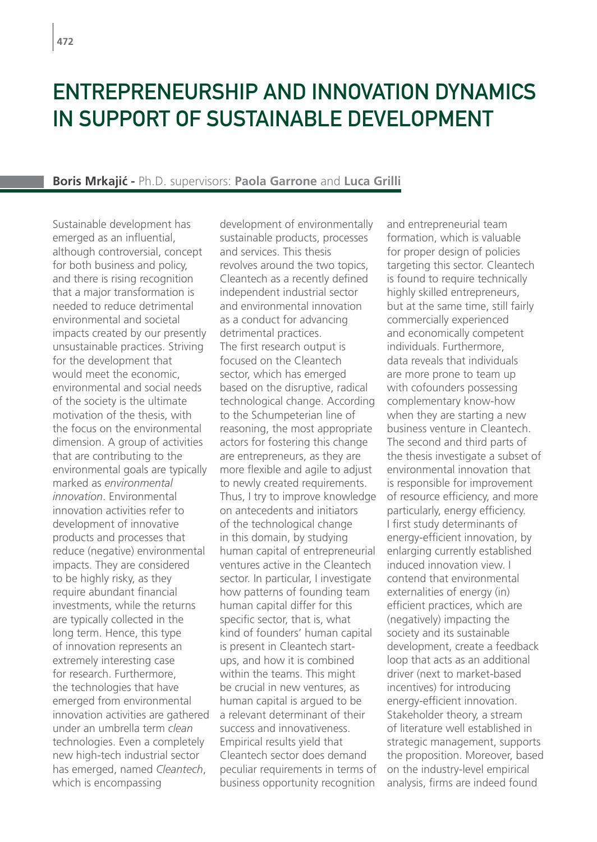## ENTREPRENEURSHIP AND INNOVATION DYNAMICS IN SUPPORT OF SUSTAINABLE DEVELOPMENT

### **Boris Mrkajic´ -** Ph.D. supervisors: **Paola Garrone** and **Luca Grilli**

Sustainable development has emerged as an influential, although controversial, concept for both business and policy, and there is rising recognition that a major transformation is needed to reduce detrimental environmental and societal impacts created by our presently unsustainable practices. Striving for the development that would meet the economic environmental and social needs of the society is the ultimate motivation of the thesis, with the focus on the environmental dimension. A group of activities that are contributing to the environmental goals are typically marked as *environmental innovation*. Environmental innovation activities refer to development of innovative products and processes that reduce (negative) environmental impacts. They are considered to be highly risky, as they require abundant financial investments, while the returns are typically collected in the long term. Hence, this type of innovation represents an extremely interesting case for research. Furthermore, the technologies that have emerged from environmental innovation activities are gathered under an umbrella term *clean* technologies. Even a completely new high-tech industrial sector has emerged, named *Cleantech*, which is encompassing

development of environmentally sustainable products, processes and services. This thesis revolves around the two topics, Cleantech as a recently defined independent industrial sector and environmental innovation as a conduct for advancing detrimental practices. The first research output is focused on the Cleantech sector, which has emerged based on the disruptive, radical technological change. According to the Schumpeterian line of reasoning, the most appropriate actors for fostering this change are entrepreneurs, as they are more flexible and agile to adjust to newly created requirements. Thus, I try to improve knowledge on antecedents and initiators of the technological change in this domain, by studying human capital of entrepreneurial ventures active in the Cleantech sector. In particular, I investigate how patterns of founding team human capital differ for this specific sector, that is, what kind of founders' human capital is present in Cleantech startups, and how it is combined within the teams. This might be crucial in new ventures, as human capital is argued to be a relevant determinant of their success and innovativeness. Empirical results yield that Cleantech sector does demand peculiar requirements in terms of business opportunity recognition

and entrepreneurial team formation, which is valuable for proper design of policies targeting this sector. Cleantech is found to require technically highly skilled entrepreneurs, but at the same time, still fairly commercially experienced and economically competent individuals. Furthermore, data reveals that individuals are more prone to team up with cofounders possessing complementary know-how when they are starting a new business venture in Cleantech. The second and third parts of the thesis investigate a subset of environmental innovation that is responsible for improvement of resource efficiency, and more particularly, energy efficiency. I first study determinants of energy-efficient innovation, by enlarging currently established induced innovation view. I contend that environmental externalities of energy (in) efficient practices, which are (negatively) impacting the society and its sustainable development, create a feedback loop that acts as an additional driver (next to market-based incentives) for introducing energy-efficient innovation. Stakeholder theory, a stream of literature well established in strategic management, supports the proposition. Moreover, based on the industry-level empirical analysis, firms are indeed found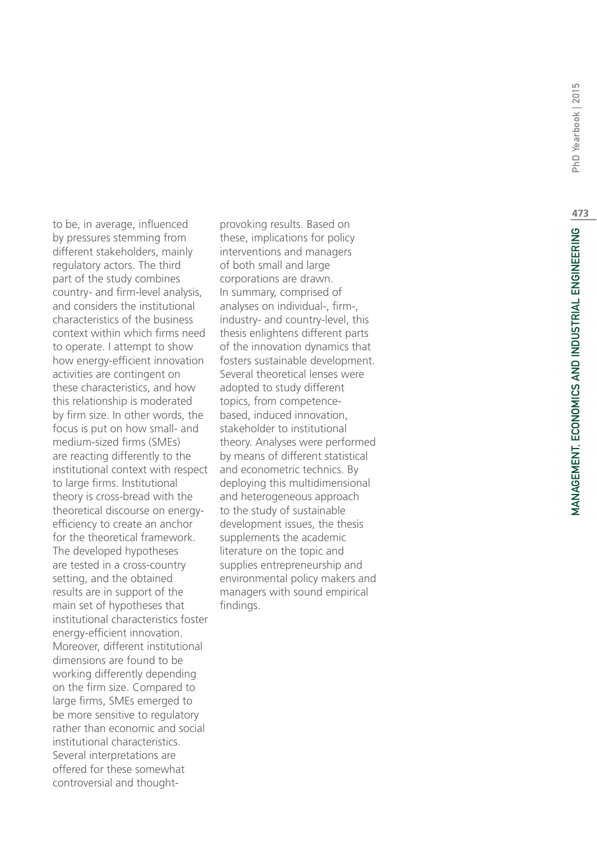to be, in average, influenced by pressures stemming from different stakeholders, mainly regulatory actors. The third part of the study combines country- and firm-level analysis, and considers the institutional characteristics of the business context within which firms need to operate. I attempt to show how energy-efficient innovation activities are contingent on these characteristics, and how this relationship is moderated by firm size. In other words, the focus is put on how small- and medium-sized firms (SMEs) are reacting differently to the institutional context with respect to large firms. Institutional theory is cross-bread with the theoretical discourse on energyefficiency to create an anchor for the theoretical framework. The developed hypotheses are tested in a cross-country setting, and the obtained results are in support of the main set of hypotheses that institutional characteristics foster energy-efficient innovation. Moreover, different institutional dimensions are found to be working differently depending on the firm size. Compared to large firms, SMEs emerged to be more sensitive to regulatory rather than economic and social institutional characteristics. Several interpretations are offered for these somewhat controversial and thoughtprovoking results. Based on these, implications for policy interventions and managers of both small and large corporations are drawn. In summary, comprised of analyses on individual-, firm-, industry- and country-level, this thesis enlightens different parts of the innovation dynamics that fosters sustainable development. Several theoretical lenses were adopted to study different topics, from competencebased, induced innovation, stakeholder to institutional theory. Analyses were performed by means of different statistical and econometric technics. By deploying this multidimensional and heterogeneous approach to the study of sustainable development issues, the thesis supplements the academic literature on the topic and supplies entrepreneurship and environmental policy makers and managers with sound empirical findings.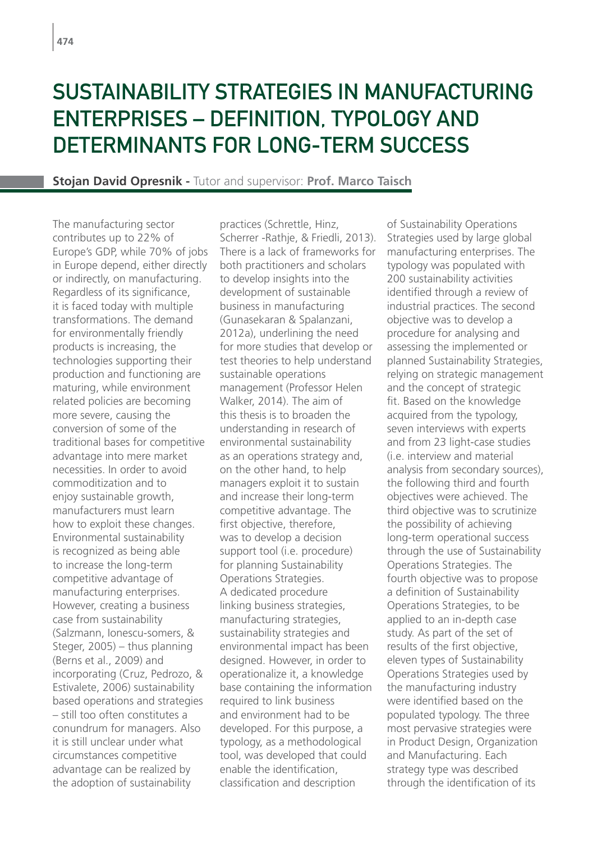## SUSTAINABILITY STRATEGIES IN MANUFACTURING ENTERPRISES – DEFINITION, TYPOLOGY AND DETERMINANTS FOR LONG-TERM SUCCESS

**Stojan David Opresnik -** Tutor and supervisor: **Prof. Marco Taisch**

The manufacturing sector contributes up to 22% of Europe's GDP, while 70% of jobs in Europe depend, either directly or indirectly, on manufacturing. Regardless of its significance, it is faced today with multiple transformations. The demand for environmentally friendly products is increasing, the technologies supporting their production and functioning are maturing, while environment related policies are becoming more severe, causing the conversion of some of the traditional bases for competitive advantage into mere market necessities. In order to avoid commoditization and to enjoy sustainable growth, manufacturers must learn how to exploit these changes. Environmental sustainability is recognized as being able to increase the long-term competitive advantage of manufacturing enterprises. However, creating a business case from sustainability (Salzmann, Ionescu-somers, & Steger, 2005) – thus planning (Berns et al., 2009) and incorporating (Cruz, Pedrozo, & Estivalete, 2006) sustainability based operations and strategies – still too often constitutes a conundrum for managers. Also it is still unclear under what circumstances competitive advantage can be realized by the adoption of sustainability

practices (Schrettle, Hinz, Scherrer -Rathje, & Friedli, 2013). There is a lack of frameworks for both practitioners and scholars to develop insights into the development of sustainable business in manufacturing (Gunasekaran & Spalanzani, 2012a), underlining the need for more studies that develop or test theories to help understand sustainable operations management (Professor Helen Walker, 2014). The aim of this thesis is to broaden the understanding in research of environmental sustainability as an operations strategy and, on the other hand, to help managers exploit it to sustain and increase their long-term competitive advantage. The first objective, therefore, was to develop a decision support tool (i.e. procedure) for planning Sustainability Operations Strategies. A dedicated procedure linking business strategies, manufacturing strategies, sustainability strategies and environmental impact has been designed. However, in order to operationalize it, a knowledge base containing the information required to link business and environment had to be developed. For this purpose, a typology, as a methodological tool, was developed that could enable the identification, classification and description

of Sustainability Operations Strategies used by large global manufacturing enterprises. The typology was populated with 200 sustainability activities identified through a review of industrial practices. The second objective was to develop a procedure for analysing and assessing the implemented or planned Sustainability Strategies, relying on strategic management and the concept of strategic fit. Based on the knowledge acquired from the typology, seven interviews with experts and from 23 light-case studies (i.e. interview and material analysis from secondary sources), the following third and fourth objectives were achieved. The third objective was to scrutinize the possibility of achieving long-term operational success through the use of Sustainability Operations Strategies. The fourth objective was to propose a definition of Sustainability Operations Strategies, to be applied to an in-depth case study. As part of the set of results of the first objective, eleven types of Sustainability Operations Strategies used by the manufacturing industry were identified based on the populated typology. The three most pervasive strategies were in Product Design, Organization and Manufacturing. Each strategy type was described through the identification of its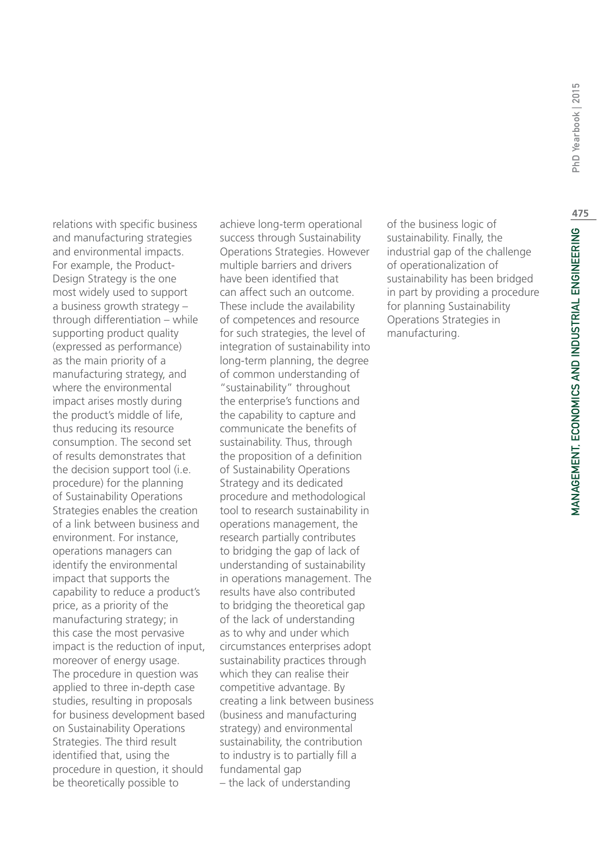MANAGEMENT, ECONOMICS AND INDUSTRIAL ENGINEERING PhD Yearbook | 2015 **475**MANAGEMENT, ECONOMICS AND INDUSTRIAL ENGINEERING

relations with specific business and manufacturing strategies and environmental impacts. For example, the Product-Design Strategy is the one most widely used to support a business growth strategy – through differentiation – while supporting product quality (expressed as performance) as the main priority of a manufacturing strategy, and where the environmental impact arises mostly during the product's middle of life, thus reducing its resource consumption. The second set of results demonstrates that the decision support tool (i.e. procedure) for the planning of Sustainability Operations Strategies enables the creation of a link between business and environment. For instance, operations managers can identify the environmental impact that supports the capability to reduce a product's price, as a priority of the manufacturing strategy; in this case the most pervasive impact is the reduction of input, moreover of energy usage. The procedure in question was applied to three in-depth case studies, resulting in proposals for business development based on Sustainability Operations Strategies. The third result identified that, using the procedure in question, it should be theoretically possible to

achieve long-term operational success through Sustainability Operations Strategies. However multiple barriers and drivers have been identified that can affect such an outcome. These include the availability of competences and resource for such strategies, the level of integration of sustainability into long-term planning, the degree of common understanding of "sustainability" throughout the enterprise's functions and the capability to capture and communicate the benefits of sustainability. Thus, through the proposition of a definition of Sustainability Operations Strategy and its dedicated procedure and methodological tool to research sustainability in operations management, the research partially contributes to bridging the gap of lack of understanding of sustainability in operations management. The results have also contributed to bridging the theoretical gap of the lack of understanding as to why and under which circumstances enterprises adopt sustainability practices through which they can realise their competitive advantage. By creating a link between business (business and manufacturing strategy) and environmental sustainability, the contribution to industry is to partially fill a fundamental gap – the lack of understanding

of the business logic of sustainability. Finally, the industrial gap of the challenge of operationalization of sustainability has been bridged in part by providing a procedure for planning Sustainability Operations Strategies in manufacturing.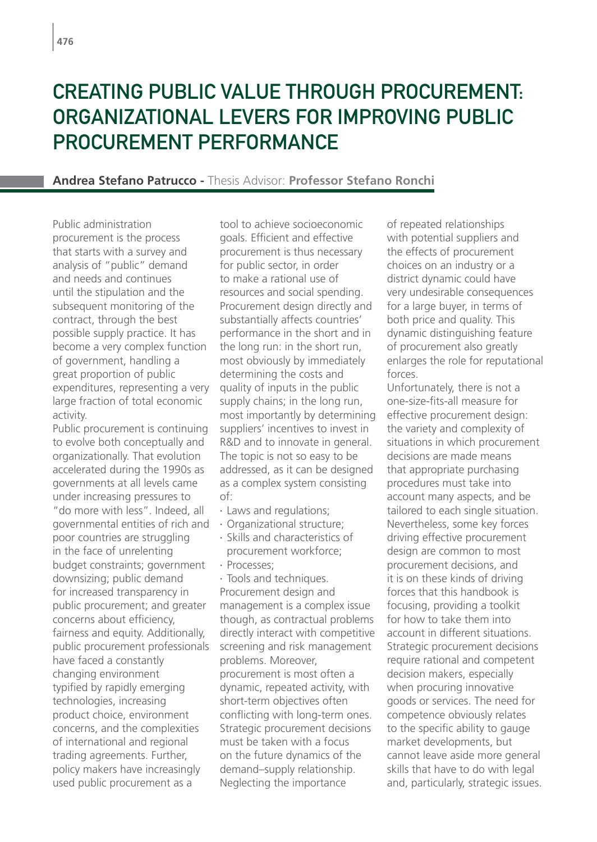## CREATING PUBLIC VALUE THROUGH PROCUREMENT: ORGANIZATIONAL LEVERS FOR IMPROVING PUBLIC PROCUREMENT PERFORMANCE

## **Andrea Stefano Patrucco -** Thesis Advisor: **Professor Stefano Ronchi**

Public administration procurement is the process that starts with a survey and analysis of "public" demand and needs and continues until the stipulation and the subsequent monitoring of the contract, through the best possible supply practice. It has become a very complex function of government, handling a great proportion of public expenditures, representing a very large fraction of total economic activity.

Public procurement is continuing to evolve both conceptually and organizationally. That evolution accelerated during the 1990s as governments at all levels came under increasing pressures to "do more with less". Indeed, all governmental entities of rich and poor countries are struggling in the face of unrelenting budget constraints; government downsizing; public demand for increased transparency in public procurement; and greater concerns about efficiency, fairness and equity. Additionally, public procurement professionals have faced a constantly changing environment typified by rapidly emerging technologies, increasing product choice, environment concerns, and the complexities of international and regional trading agreements. Further, policy makers have increasingly used public procurement as a

tool to achieve socioeconomic goals. Efficient and effective procurement is thus necessary for public sector, in order to make a rational use of resources and social spending. Procurement design directly and substantially affects countries' performance in the short and in the long run: in the short run, most obviously by immediately determining the costs and quality of inputs in the public supply chains; in the long run, most importantly by determining suppliers' incentives to invest in R&D and to innovate in general. The topic is not so easy to be addressed, as it can be designed as a complex system consisting of:

- ∙ Laws and regulations;
- ∙ Organizational structure;
- ∙ Skills and characteristics of procurement workforce;
- ∙ Processes;
- ∙ Tools and techniques.

Procurement design and management is a complex issue though, as contractual problems directly interact with competitive screening and risk management problems. Moreover, procurement is most often a dynamic, repeated activity, with short-term objectives often conflicting with long-term ones. Strategic procurement decisions must be taken with a focus on the future dynamics of the demand–supply relationship. Neglecting the importance

of repeated relationships with potential suppliers and the effects of procurement choices on an industry or a district dynamic could have very undesirable consequences for a large buyer, in terms of both price and quality. This dynamic distinguishing feature of procurement also greatly enlarges the role for reputational forces.

Unfortunately, there is not a one-size-fits-all measure for effective procurement design: the variety and complexity of situations in which procurement decisions are made means that appropriate purchasing procedures must take into account many aspects, and be tailored to each single situation. Nevertheless, some key forces driving effective procurement design are common to most procurement decisions, and it is on these kinds of driving forces that this handbook is focusing, providing a toolkit for how to take them into account in different situations. Strategic procurement decisions require rational and competent decision makers, especially when procuring innovative goods or services. The need for competence obviously relates to the specific ability to gauge market developments, but cannot leave aside more general skills that have to do with legal and, particularly, strategic issues.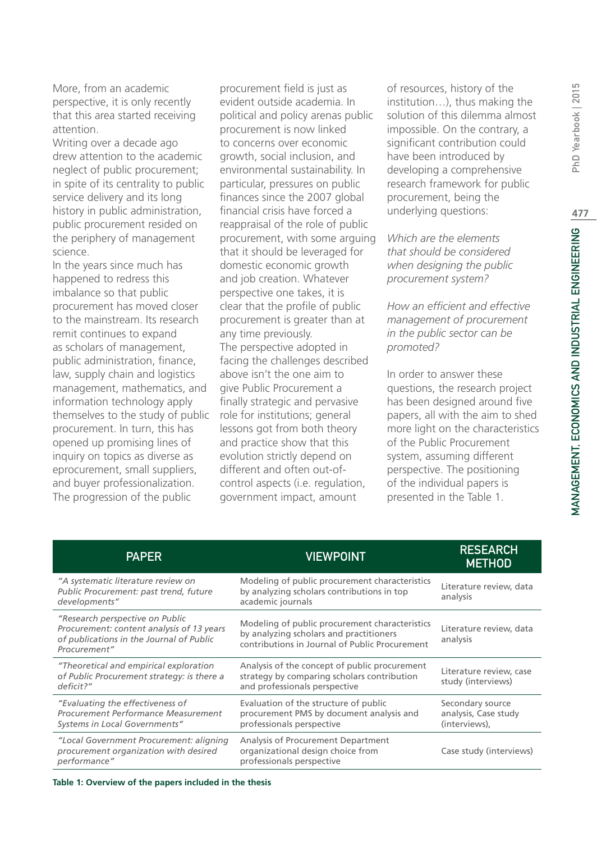More, from an academic perspective, it is only recently that this area started receiving attention.

Writing over a decade ago drew attention to the academic neglect of public procurement; in spite of its centrality to public service delivery and its long history in public administration, public procurement resided on the periphery of management science.

In the years since much has happened to redress this imbalance so that public procurement has moved closer to the mainstream. Its research remit continues to expand as scholars of management, public administration, finance, law, supply chain and logistics management, mathematics, and information technology apply themselves to the study of public procurement. In turn, this has opened up promising lines of inquiry on topics as diverse as eprocurement, small suppliers, and buyer professionalization. The progression of the public

procurement field is just as evident outside academia. In political and policy arenas public procurement is now linked to concerns over economic growth, social inclusion, and environmental sustainability. In particular, pressures on public finances since the 2007 global financial crisis have forced a reappraisal of the role of public procurement, with some arguing that it should be leveraged for domestic economic growth and job creation. Whatever perspective one takes, it is clear that the profile of public procurement is greater than at any time previously. The perspective adopted in facing the challenges described above isn't the one aim to give Public Procurement a finally strategic and pervasive role for institutions; general lessons got from both theory and practice show that this evolution strictly depend on different and often out-ofcontrol aspects (i.e. regulation, government impact, amount

of resources, history of the institution…), thus making the solution of this dilemma almost impossible. On the contrary, a significant contribution could have been introduced by developing a comprehensive research framework for public procurement, being the underlying questions:

*Which are the elements that should be considered when designing the public procurement system?*

**How an efficient and effective** *management of procurement in the public sector can be promoted?*

In order to answer these questions, the research project has been designed around five papers, all with the aim to shed more light on the characteristics of the Public Procurement system, assuming different perspective. The positioning of the individual papers is presented in the Table 1.

| <b>PAPER</b>                                                                                                                             | <b>VIEWPOINT</b>                                                                                                                            | <b>RESEARCH</b><br><b>METHOD</b>                          |
|------------------------------------------------------------------------------------------------------------------------------------------|---------------------------------------------------------------------------------------------------------------------------------------------|-----------------------------------------------------------|
| "A systematic literature review on<br>Public Procurement: past trend, future<br>developments"                                            | Modeling of public procurement characteristics<br>by analyzing scholars contributions in top<br>academic journals                           | Literature review, data<br>analysis                       |
| "Research perspective on Public<br>Procurement: content analysis of 13 years<br>of publications in the Journal of Public<br>Procurement" | Modeling of public procurement characteristics<br>by analyzing scholars and practitioners<br>contributions in Journal of Public Procurement | Literature review, data<br>analysis                       |
| "Theoretical and empirical exploration<br>of Public Procurement strategy: is there a<br>deficit?"                                        | Analysis of the concept of public procurement<br>strategy by comparing scholars contribution<br>and professionals perspective               | Literature review, case<br>study (interviews)             |
| "Evaluating the effectiveness of<br>Procurement Performance Measurement<br>Systems in Local Governments"                                 | Evaluation of the structure of public<br>procurement PMS by document analysis and<br>professionals perspective                              | Secondary source<br>analysis, Case study<br>(interviews), |
| "Local Government Procurement: aligning<br>procurement organization with desired<br>performance"                                         | Analysis of Procurement Department<br>organizational design choice from<br>professionals perspective                                        | Case study (interviews)                                   |

**Table 1: Overview of the papers included in the thesis**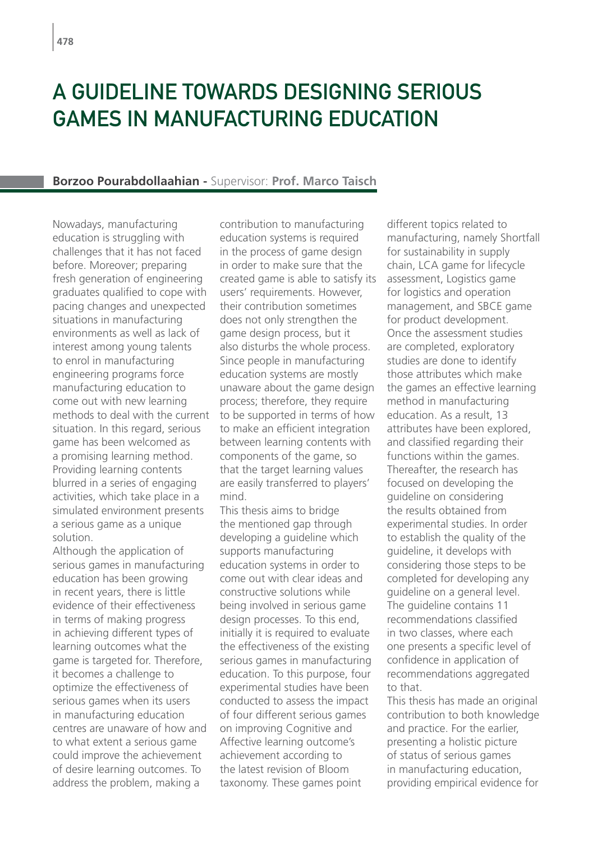## A GUIDELINE TOWARDS DESIGNING SERIOUS GAMES IN MANUFACTURING EDUCATION

### **Borzoo Pourabdollaahian -** Supervisor: **Prof. Marco Taisch**

Nowadays, manufacturing education is struggling with challenges that it has not faced before. Moreover; preparing fresh generation of engineering graduates qualified to cope with pacing changes and unexpected situations in manufacturing environments as well as lack of interest among young talents to enrol in manufacturing engineering programs force manufacturing education to come out with new learning methods to deal with the current situation. In this regard, serious game has been welcomed as a promising learning method. Providing learning contents blurred in a series of engaging activities, which take place in a simulated environment presents a serious game as a unique solution.

Although the application of serious games in manufacturing education has been growing in recent years, there is little evidence of their effectiveness in terms of making progress in achieving different types of learning outcomes what the game is targeted for. Therefore, it becomes a challenge to optimize the effectiveness of serious games when its users in manufacturing education centres are unaware of how and to what extent a serious game could improve the achievement of desire learning outcomes. To address the problem, making a

contribution to manufacturing education systems is required in the process of game design in order to make sure that the created game is able to satisfy its users' requirements. However, their contribution sometimes does not only strengthen the game design process, but it also disturbs the whole process. Since people in manufacturing education systems are mostly unaware about the game design process; therefore, they require to be supported in terms of how to make an efficient integration between learning contents with components of the game, so that the target learning values are easily transferred to players' mind.

This thesis aims to bridge the mentioned gap through developing a guideline which supports manufacturing education systems in order to come out with clear ideas and constructive solutions while being involved in serious game design processes. To this end, initially it is required to evaluate the effectiveness of the existing serious games in manufacturing education. To this purpose, four experimental studies have been conducted to assess the impact of four different serious games on improving Cognitive and Affective learning outcome's achievement according to the latest revision of Bloom taxonomy. These games point

different topics related to manufacturing, namely Shortfall for sustainability in supply chain, LCA game for lifecycle assessment, Logistics game for logistics and operation management, and SBCE game for product development. Once the assessment studies are completed, exploratory studies are done to identify those attributes which make the games an effective learning method in manufacturing education. As a result, 13 attributes have been explored, and classified regarding their functions within the games. Thereafter, the research has focused on developing the guideline on considering the results obtained from experimental studies. In order to establish the quality of the guideline, it develops with considering those steps to be completed for developing any guideline on a general level. The guideline contains 11 recommendations classified in two classes, where each one presents a specific level of confidence in application of recommendations aggregated to that.

This thesis has made an original contribution to both knowledge and practice. For the earlier, presenting a holistic picture of status of serious games in manufacturing education, providing empirical evidence for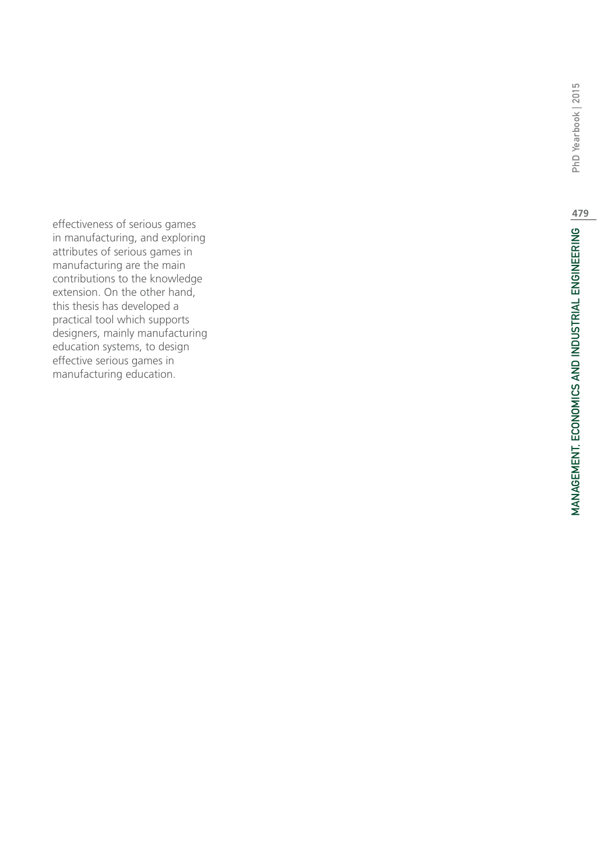effectiveness of serious games in manufacturing, and exploring attributes of serious games in manufacturing are the main contributions to the knowledge extension. On the other hand, this thesis has developed a practical tool which supports designers, mainly manufacturing education systems, to design effective serious games in manufacturing education.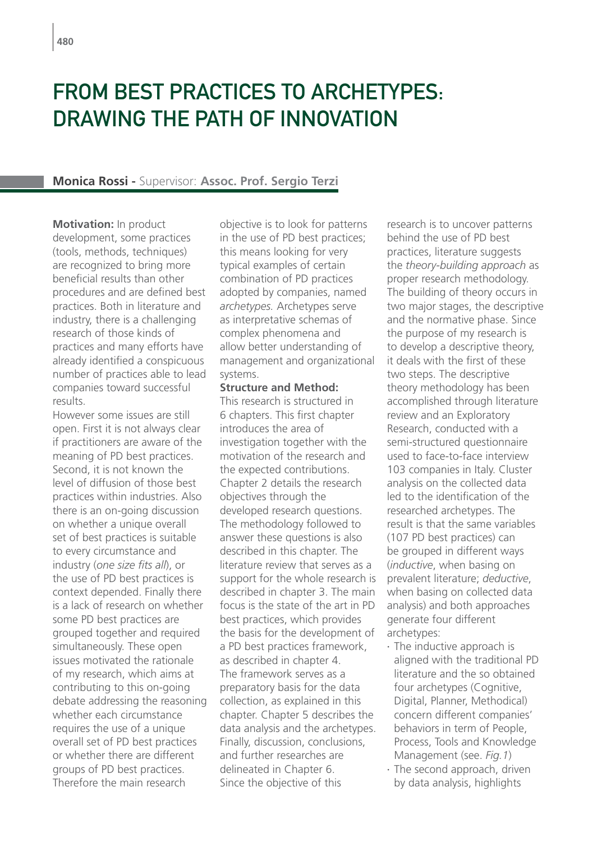# FROM BEST PRACTICES TO ARCHETYPES: DRAWING THE PATH OF INNOVATION

## **Monica Rossi -** Supervisor: **Assoc. Prof. Sergio Terzi**

**Motivation:** In product development, some practices (tools, methods, techniques) are recognized to bring more beneficial results than other procedures and are defined best practices. Both in literature and industry, there is a challenging research of those kinds of practices and many efforts have already identified a conspicuous number of practices able to lead companies toward successful results.

However some issues are still open. First it is not always clear if practitioners are aware of the meaning of PD best practices. Second, it is not known the level of diffusion of those best practices within industries. Also there is an on-going discussion on whether a unique overall set of best practices is suitable to every circumstance and industry (one size fits all), or the use of PD best practices is context depended. Finally there is a lack of research on whether some PD best practices are grouped together and required simultaneously. These open issues motivated the rationale of my research, which aims at contributing to this on-going debate addressing the reasoning whether each circumstance requires the use of a unique overall set of PD best practices or whether there are different groups of PD best practices. Therefore the main research

objective is to look for patterns in the use of PD best practices; this means looking for very typical examples of certain combination of PD practices adopted by companies, named *archetypes.* Archetypes serve as interpretative schemas of complex phenomena and allow better understanding of management and organizational systems.

#### **Structure and Method:**

This research is structured in 6 chapters. This first chapter introduces the area of investigation together with the motivation of the research and the expected contributions. Chapter 2 details the research objectives through the developed research questions. The methodology followed to answer these questions is also described in this chapter. The literature review that serves as a support for the whole research is described in chapter 3. The main focus is the state of the art in PD best practices, which provides the basis for the development of a PD best practices framework, as described in chapter 4. The framework serves as a preparatory basis for the data collection, as explained in this chapter. Chapter 5 describes the data analysis and the archetypes. Finally, discussion, conclusions, and further researches are delineated in Chapter 6. Since the objective of this

research is to uncover patterns behind the use of PD best practices, literature suggests the *theory-building approach* as proper research methodology. The building of theory occurs in two major stages, the descriptive and the normative phase. Since the purpose of my research is to develop a descriptive theory, it deals with the first of these two steps. The descriptive theory methodology has been accomplished through literature review and an Exploratory Research, conducted with a semi-structured questionnaire used to face-to-face interview 103 companies in Italy. Cluster analysis on the collected data led to the identification of the researched archetypes. The result is that the same variables (107 PD best practices) can be grouped in different ways (*inductive*, when basing on prevalent literature; *deductive*, when basing on collected data analysis) and both approaches generate four different archetypes:

- ∙ The inductive approach is aligned with the traditional PD literature and the so obtained four archetypes (Cognitive, Digital, Planner, Methodical) concern different companies' behaviors in term of People, Process, Tools and Knowledge Management (see. *Fig.1*) ∙ The second approach, driven
- by data analysis, highlights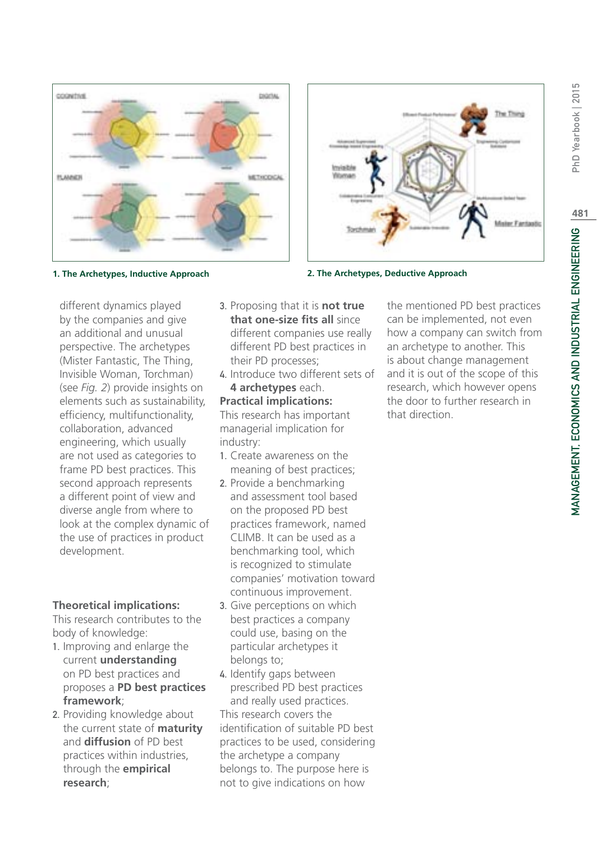



**1. The Archetypes, Inductive Approach 2. The Archetypes, Deductive Approach**

different dynamics played by the companies and give an additional and unusual perspective. The archetypes (Mister Fantastic, The Thing, Invisible Woman, Torchman) (see *Fig. 2*) provide insights on elements such as sustainability, efficiency, multifunctionality, collaboration, advanced engineering, which usually are not used as categories to frame PD best practices. This second approach represents a different point of view and diverse angle from where to look at the complex dynamic of the use of practices in product development.

### **Theoretical implications:**

This research contributes to the body of knowledge:

- 1. Improving and enlarge the current **understanding** on PD best practices and proposes a **PD best practices framework**;
- 2. Providing knowledge about the current state of **maturity** and **diffusion** of PD best practices within industries, through the **empirical research**;
- 3. Proposing that it is **not true that one-size fits all since** different companies use really different PD best practices in their PD processes;
- 4. Introduce two different sets of **4 archetypes** each.

**Practical implications:** This research has important managerial implication for industry:

- 1. Create awareness on the meaning of best practices;
- 2. Provide a benchmarking and assessment tool based on the proposed PD best practices framework, named CLIMB. It can be used as a benchmarking tool, which is recognized to stimulate companies' motivation toward continuous improvement.
- 3. Give perceptions on which best practices a company could use, basing on the particular archetypes it belongs to;
- 4. Identify gaps between prescribed PD best practices and really used practices. This research covers the identification of suitable PD best practices to be used, considering the archetype a company belongs to. The purpose here is not to give indications on how

the mentioned PD best practices can be implemented, not even how a company can switch from an archetype to another. This is about change management and it is out of the scope of this research, which however opens the door to further research in that direction.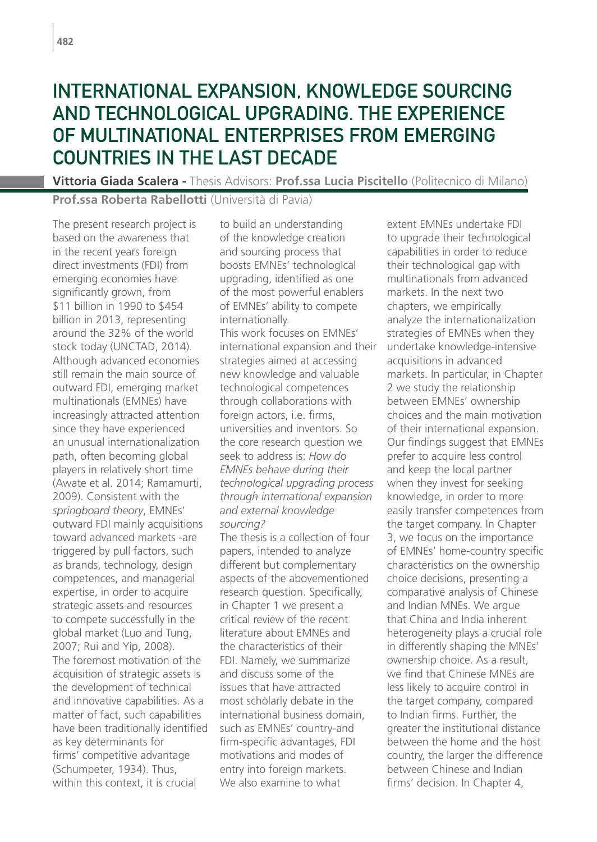## INTERNATIONAL EXPANSION, KNOWLEDGE SOURCING AND TECHNOLOGICAL UPGRADING. THE EXPERIENCE OF MULTINATIONAL ENTERPRISES FROM EMERGING COUNTRIES IN THE LAST DECADE

**Vittoria Giada Scalera -** Thesis Advisors: **Prof.ssa Lucia Piscitello** (Politecnico di Milano)

**Prof.ssa Roberta Rabellotti** (Università di Pavia)

The present research project is based on the awareness that in the recent years foreign direct investments (FDI) from emerging economies have significantly grown, from \$11 billion in 1990 to \$454 billion in 2013, representing around the 32% of the world stock today (UNCTAD, 2014). Although advanced economies still remain the main source of outward FDI, emerging market multinationals (EMNEs) have increasingly attracted attention since they have experienced an unusual internationalization path, often becoming global players in relatively short time (Awate et al. 2014; Ramamurti, 2009). Consistent with the *springboard theory*, EMNEs' outward FDI mainly acquisitions toward advanced markets -are triggered by pull factors, such as brands, technology, design competences, and managerial expertise, in order to acquire strategic assets and resources to compete successfully in the global market (Luo and Tung, 2007; Rui and Yip, 2008). The foremost motivation of the acquisition of strategic assets is the development of technical and innovative capabilities. As a matter of fact, such capabilities have been traditionally identified as key determinants for firms' competitive advantage (Schumpeter, 1934). Thus, within this context, it is crucial

to build an understanding of the knowledge creation and sourcing process that boosts EMNEs' technological upgrading, identified as one of the most powerful enablers of EMNEs' ability to compete internationally. This work focuses on EMNEs' international expansion and their strategies aimed at accessing new knowledge and valuable technological competences through collaborations with foreign actors, i.e. firms. universities and inventors. So the core research question we seek to address is: *How do EMNEs behave during their technological upgrading process through international expansion and external knowledge sourcing?* 

The thesis is a collection of four papers, intended to analyze different but complementary aspects of the abovementioned research question. Specifically, in Chapter 1 we present a critical review of the recent literature about EMNEs and the characteristics of their FDI. Namely, we summarize and discuss some of the issues that have attracted most scholarly debate in the international business domain, such as EMNEs' country-and firm-specific advantages, FDI motivations and modes of entry into foreign markets. We also examine to what

extent EMNEs undertake FDI to upgrade their technological capabilities in order to reduce their technological gap with multinationals from advanced markets. In the next two chapters, we empirically analyze the internationalization strategies of EMNEs when they undertake knowledge-intensive acquisitions in advanced markets. In particular, in Chapter 2 we study the relationship between EMNEs' ownership choices and the main motivation of their international expansion. Our findings suggest that EMNEs prefer to acquire less control and keep the local partner when they invest for seeking knowledge, in order to more easily transfer competences from the target company. In Chapter 3, we focus on the importance of EMNEs' home-country specific characteristics on the ownership choice decisions, presenting a comparative analysis of Chinese and Indian MNEs. We argue that China and India inherent heterogeneity plays a crucial role in differently shaping the MNEs' ownership choice. As a result, we find that Chinese MNEs are less likely to acquire control in the target company, compared to Indian firms. Further, the greater the institutional distance between the home and the host country, the larger the difference between Chinese and Indian firms' decision. In Chapter 4,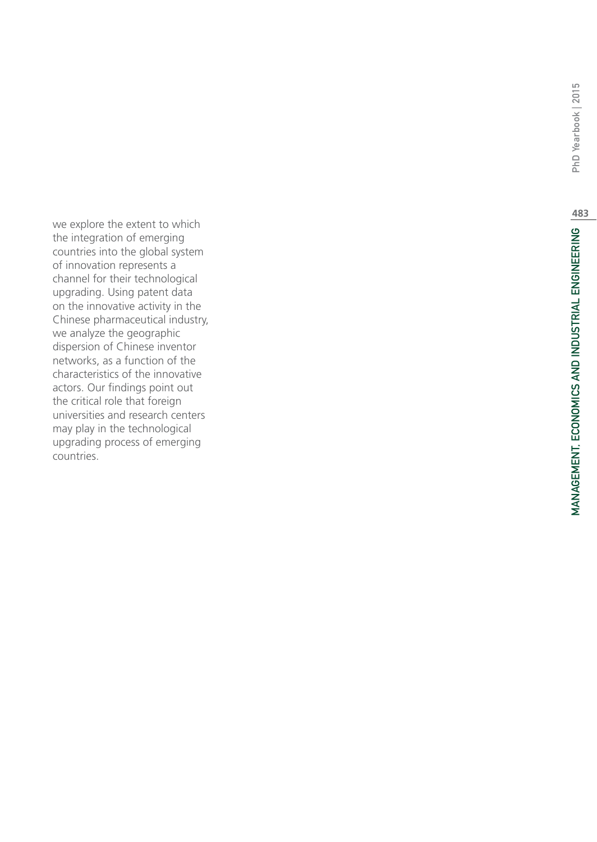MANAGEMENT, ECONOMICS AND INDUSTRIAL ENGINEERING PhD Yearbook | 2015 **483**MANAGEMENT, ECONOMICS AND INDUSTRIAL ENGINEERING

we explore the extent to which the integration of emerging countries into the global system of innovation represents a channel for their technological upgrading. Using patent data on the innovative activity in the Chinese pharmaceutical industry, we analyze the geographic dispersion of Chinese inventor networks, as a function of the characteristics of the innovative actors. Our findings point out the critical role that foreign universities and research centers may play in the technological upgrading process of emerging countries.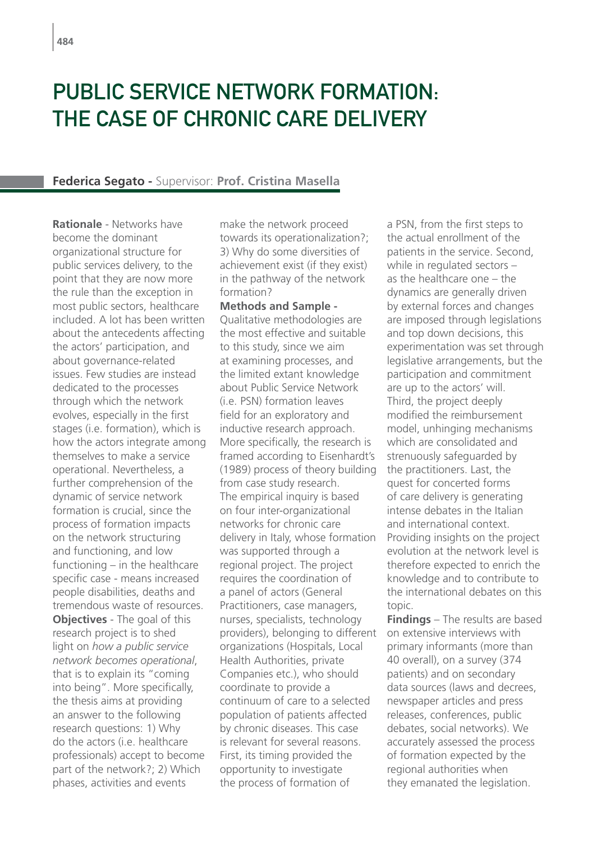## PUBLIC SERVICE NETWORK FORMATION. THE CASE OF CHRONIC CARE DELIVERY

## **Federica Segato -** Supervisor: **Prof. Cristina Masella**

**Rationale** - Networks have become the dominant organizational structure for public services delivery, to the point that they are now more the rule than the exception in most public sectors, healthcare included. A lot has been written about the antecedents affecting the actors' participation, and about governance-related issues. Few studies are instead dedicated to the processes through which the network evolves, especially in the first stages (i.e. formation), which is how the actors integrate among themselves to make a service operational. Nevertheless, a further comprehension of the dynamic of service network formation is crucial, since the process of formation impacts on the network structuring and functioning, and low functioning – in the healthcare specific case - means increased people disabilities, deaths and tremendous waste of resources. **Objectives** - The goal of this research project is to shed light on *how a public service network becomes operational*, that is to explain its "coming into being". More specifically, the thesis aims at providing an answer to the following research questions: 1) Why do the actors (i.e. healthcare professionals) accept to become part of the network?; 2) Which phases, activities and events

make the network proceed towards its operationalization?; 3) Why do some diversities of achievement exist (if they exist) in the pathway of the network formation?

**Methods and Sample -**

Qualitative methodologies are the most effective and suitable to this study, since we aim at examining processes, and the limited extant knowledge about Public Service Network (i.e. PSN) formation leaves field for an exploratory and inductive research approach. More specifically, the research is framed according to Eisenhardt's (1989) process of theory building from case study research. The empirical inquiry is based on four inter-organizational networks for chronic care delivery in Italy, whose formation was supported through a regional project. The project requires the coordination of a panel of actors (General Practitioners, case managers, nurses, specialists, technology providers), belonging to different organizations (Hospitals, Local Health Authorities, private Companies etc.), who should coordinate to provide a continuum of care to a selected population of patients affected by chronic diseases. This case is relevant for several reasons. First, its timing provided the opportunity to investigate the process of formation of

a PSN, from the first steps to the actual enrollment of the patients in the service. Second, while in regulated sectors as the healthcare one – the dynamics are generally driven by external forces and changes are imposed through legislations and top down decisions, this experimentation was set through legislative arrangements, but the participation and commitment are up to the actors' will. Third, the project deeply modified the reimbursement model, unhinging mechanisms which are consolidated and strenuously safeguarded by the practitioners. Last, the quest for concerted forms of care delivery is generating intense debates in the Italian and international context. Providing insights on the project evolution at the network level is therefore expected to enrich the knowledge and to contribute to the international debates on this topic.

**Findings** – The results are based on extensive interviews with primary informants (more than 40 overall), on a survey (374 patients) and on secondary data sources (laws and decrees, newspaper articles and press releases, conferences, public debates, social networks). We accurately assessed the process of formation expected by the regional authorities when they emanated the legislation.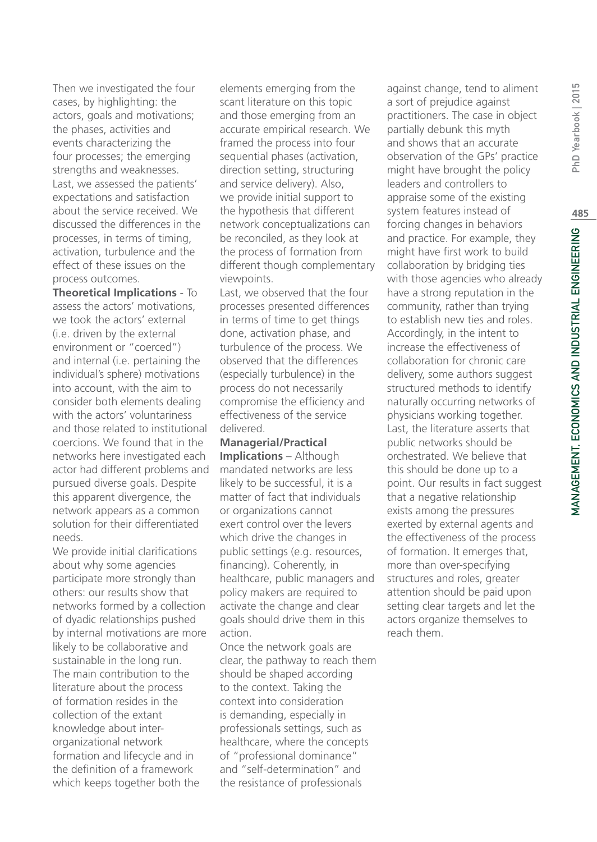MANAGEMENT, ECONOMICS AND INDUSTRIAL ENGINEERING PhD Yearbook | 2015 **485**MANAGEMENT, ECONOMICS AND INDUSTRIAL ENGINEERING

Then we investigated the four cases, by highlighting: the actors, goals and motivations; the phases, activities and events characterizing the four processes; the emerging strengths and weaknesses. Last, we assessed the patients' expectations and satisfaction about the service received. We discussed the differences in the processes, in terms of timing, activation, turbulence and the effect of these issues on the process outcomes.

**Theoretical Implications** - To assess the actors' motivations, we took the actors' external (i.e. driven by the external environment or "coerced") and internal (i.e. pertaining the individual's sphere) motivations into account, with the aim to consider both elements dealing with the actors' voluntariness and those related to institutional coercions. We found that in the networks here investigated each actor had different problems and pursued diverse goals. Despite this apparent divergence, the network appears as a common solution for their differentiated needs.

We provide initial clarifications about why some agencies participate more strongly than others: our results show that networks formed by a collection of dyadic relationships pushed by internal motivations are more likely to be collaborative and sustainable in the long run. The main contribution to the literature about the process of formation resides in the collection of the extant knowledge about interorganizational network formation and lifecycle and in the definition of a framework which keeps together both the

elements emerging from the scant literature on this topic and those emerging from an accurate empirical research. We framed the process into four sequential phases (activation, direction setting, structuring and service delivery). Also, we provide initial support to the hypothesis that different network conceptualizations can be reconciled, as they look at the process of formation from different though complementary viewpoints.

Last, we observed that the four processes presented differences in terms of time to get things done, activation phase, and turbulence of the process. We observed that the differences (especially turbulence) in the process do not necessarily compromise the efficiency and effectiveness of the service delivered.

**Managerial/Practical Implications** – Although mandated networks are less likely to be successful, it is a matter of fact that individuals or organizations cannot exert control over the levers which drive the changes in public settings (e.g. resources, financing). Coherently, in healthcare, public managers and policy makers are required to activate the change and clear goals should drive them in this action.

Once the network goals are clear, the pathway to reach them should be shaped according to the context. Taking the context into consideration is demanding, especially in professionals settings, such as healthcare, where the concepts of "professional dominance" and "self-determination" and the resistance of professionals

against change, tend to aliment a sort of prejudice against practitioners. The case in object partially debunk this myth and shows that an accurate observation of the GPs' practice might have brought the policy leaders and controllers to appraise some of the existing system features instead of forcing changes in behaviors and practice. For example, they might have first work to build collaboration by bridging ties with those agencies who already have a strong reputation in the community, rather than trying to establish new ties and roles. Accordingly, in the intent to increase the effectiveness of collaboration for chronic care delivery, some authors suggest structured methods to identify naturally occurring networks of physicians working together. Last, the literature asserts that public networks should be orchestrated. We believe that this should be done up to a point. Our results in fact suggest that a negative relationship exists among the pressures exerted by external agents and the effectiveness of the process of formation. It emerges that, more than over-specifying structures and roles, greater attention should be paid upon setting clear targets and let the actors organize themselves to reach them.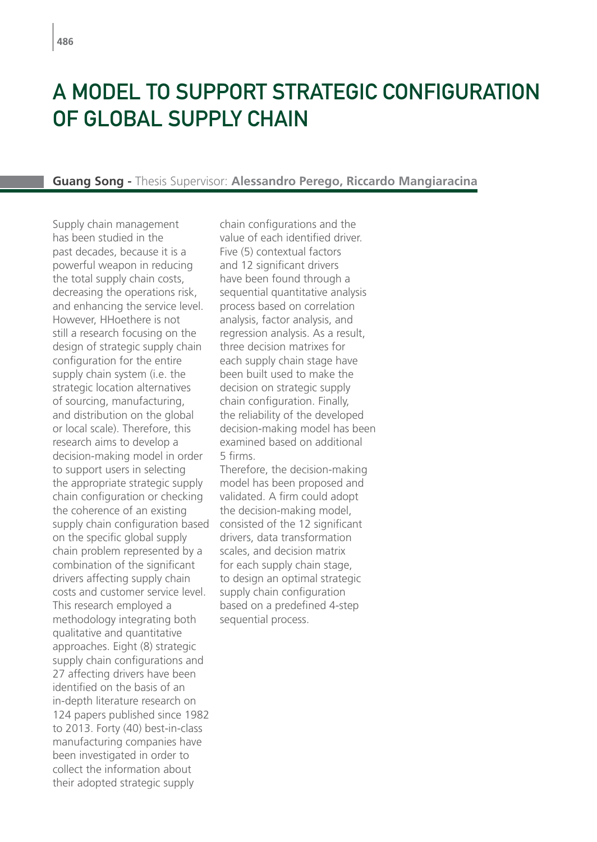## A MODEL TO SUPPORT STRATEGIC CONFIGURATION OF GLOBAL SUPPLY CHAIN

### **Guang Song -** Thesis Supervisor: **Alessandro Perego, Riccardo Mangiaracina**

Supply chain management has been studied in the past decades, because it is a powerful weapon in reducing the total supply chain costs, decreasing the operations risk, and enhancing the service level. However, HHoethere is not still a research focusing on the design of strategic supply chain configuration for the entire supply chain system (i.e. the strategic location alternatives of sourcing, manufacturing, and distribution on the global or local scale). Therefore, this research aims to develop a decision-making model in order to support users in selecting the appropriate strategic supply chain configuration or checking the coherence of an existing supply chain configuration based on the specific global supply chain problem represented by a combination of the significant drivers affecting supply chain costs and customer service level. This research employed a methodology integrating both qualitative and quantitative approaches. Eight (8) strategic supply chain configurations and 27 affecting drivers have been identified on the basis of an in-depth literature research on 124 papers published since 1982 to 2013. Forty (40) best-in-class manufacturing companies have been investigated in order to collect the information about their adopted strategic supply

chain configurations and the value of each identified driver. Five (5) contextual factors and 12 significant drivers have been found through a sequential quantitative analysis process based on correlation analysis, factor analysis, and regression analysis. As a result, three decision matrixes for each supply chain stage have been built used to make the decision on strategic supply chain configuration. Finally, the reliability of the developed decision-making model has been examined based on additional 5 fi rms.

Therefore, the decision-making model has been proposed and validated. A firm could adopt the decision-making model, consisted of the 12 significant drivers, data transformation scales, and decision matrix for each supply chain stage, to design an optimal strategic supply chain configuration based on a predefined 4-step sequential process.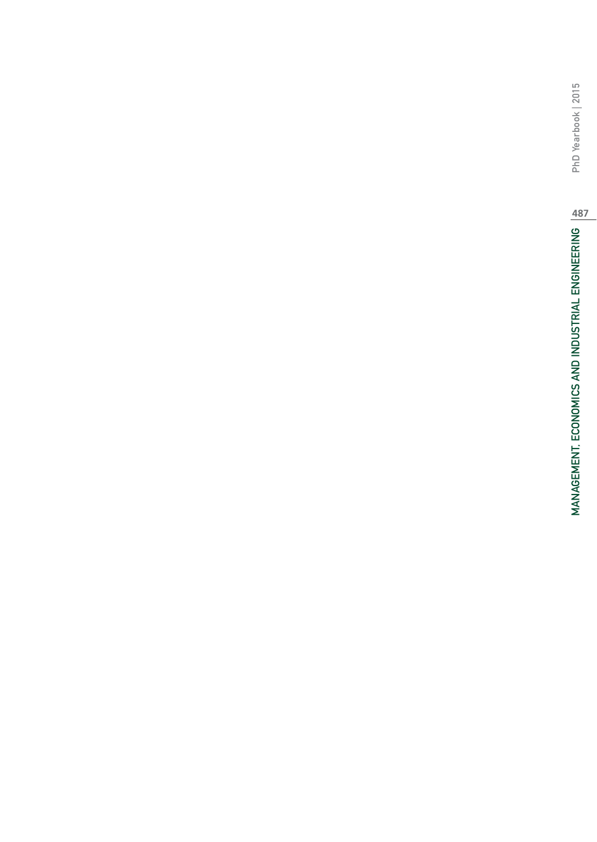| I<br>١<br>Í<br>j<br>ī<br>Ï<br>Í<br>n<br>Da                                                                                          |  |
|-------------------------------------------------------------------------------------------------------------------------------------|--|
| 487                                                                                                                                 |  |
| MANAGEMENT ECONOMICE AND INDUCTOR I FUCKLEPHON<br>֧֧֧֪ׅ֧֧֧֧֧֧֚֚֚֚֚֚֚֚֚֚֚֚֚֚֚֚֚֚֚֚֚֚֚֚֡֝֡֓֡֓֓֟֓֡֟֓֡֟֓֡֟֓֡֟֓֡֟֓֡֡֓֞֓֝֓֝֓֓֝֬֝֓֞֝֬֝֓֝֬֝ |  |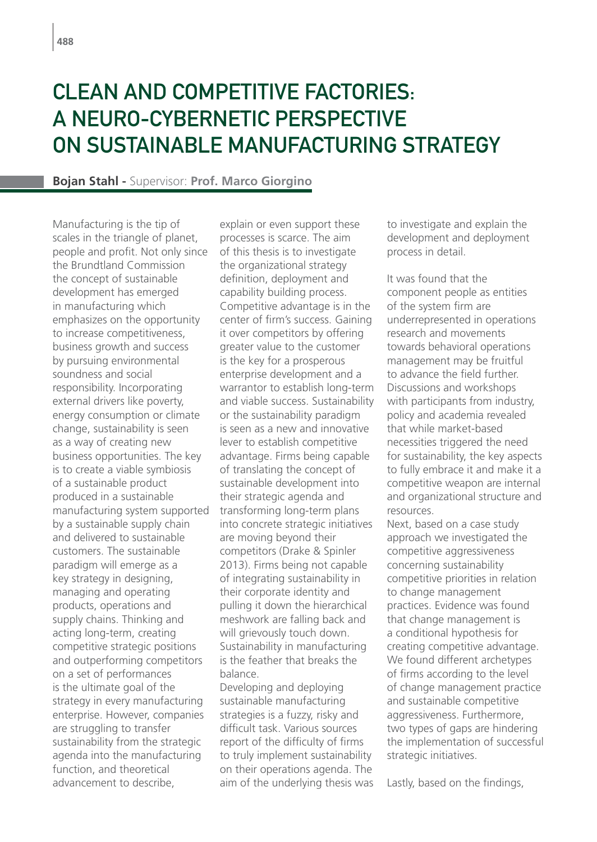# CLEAN AND COMPETITIVE FACTORIES. A NEURO-CYBERNETIC PERSPECTIVE ON SUSTAINABLE MANUFACTURING STRATEGY

## **Bojan Stahl -** Supervisor: **Prof. Marco Giorgino**

Manufacturing is the tip of scales in the triangle of planet, people and profit. Not only since the Brundtland Commission the concept of sustainable development has emerged in manufacturing which emphasizes on the opportunity to increase competitiveness, business growth and success by pursuing environmental soundness and social responsibility. Incorporating external drivers like poverty, energy consumption or climate change, sustainability is seen as a way of creating new business opportunities. The key is to create a viable symbiosis of a sustainable product produced in a sustainable manufacturing system supported by a sustainable supply chain and delivered to sustainable customers. The sustainable paradigm will emerge as a key strategy in designing, managing and operating products, operations and supply chains. Thinking and acting long-term, creating competitive strategic positions and outperforming competitors on a set of performances is the ultimate goal of the strategy in every manufacturing enterprise. However, companies are struggling to transfer sustainability from the strategic agenda into the manufacturing function, and theoretical advancement to describe,

explain or even support these processes is scarce. The aim of this thesis is to investigate the organizational strategy definition, deployment and capability building process. Competitive advantage is in the center of firm's success. Gaining it over competitors by offering greater value to the customer is the key for a prosperous enterprise development and a warrantor to establish long-term and viable success. Sustainability or the sustainability paradigm is seen as a new and innovative lever to establish competitive advantage. Firms being capable of translating the concept of sustainable development into their strategic agenda and transforming long-term plans into concrete strategic initiatives are moving beyond their competitors (Drake & Spinler 2013). Firms being not capable of integrating sustainability in their corporate identity and pulling it down the hierarchical meshwork are falling back and will grievously touch down. Sustainability in manufacturing is the feather that breaks the balance.

Developing and deploying sustainable manufacturing strategies is a fuzzy, risky and difficult task. Various sources report of the difficulty of firms to truly implement sustainability on their operations agenda. The aim of the underlying thesis was to investigate and explain the development and deployment process in detail.

It was found that the component people as entities of the system firm are underrepresented in operations research and movements towards behavioral operations management may be fruitful to advance the field further. Discussions and workshops with participants from industry, policy and academia revealed that while market-based necessities triggered the need for sustainability, the key aspects to fully embrace it and make it a competitive weapon are internal and organizational structure and resources.

Next, based on a case study approach we investigated the competitive aggressiveness concerning sustainability competitive priorities in relation to change management practices. Evidence was found that change management is a conditional hypothesis for creating competitive advantage. We found different archetypes of firms according to the level of change management practice and sustainable competitive aggressiveness. Furthermore, two types of gaps are hindering the implementation of successful strategic initiatives.

Lastly, based on the findings,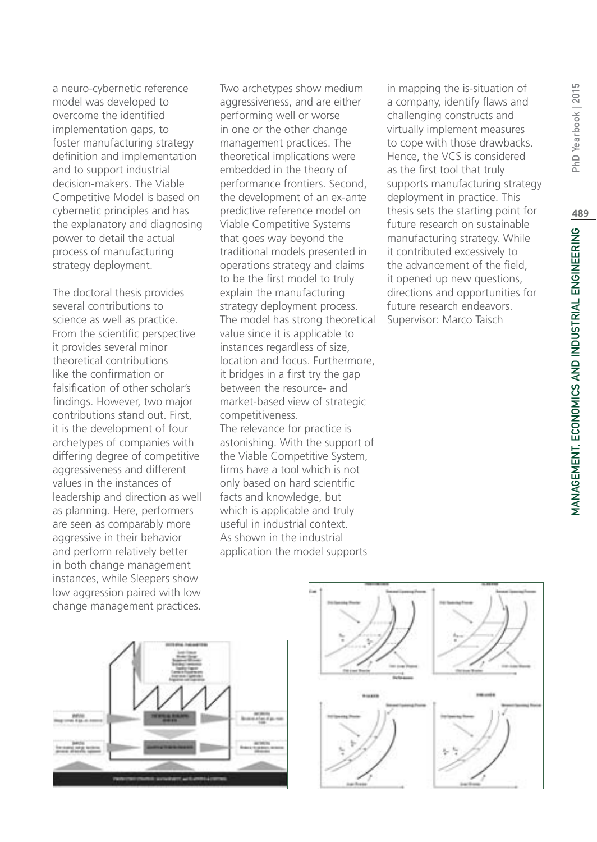PhD Yearbook | 2015

a neuro-cybernetic reference model was developed to overcome the identified implementation gaps, to foster manufacturing strategy definition and implementation and to support industrial decision-makers. The Viable Competitive Model is based on cybernetic principles and has the explanatory and diagnosing power to detail the actual process of manufacturing strategy deployment.

The doctoral thesis provides several contributions to science as well as practice. From the scientific perspective it provides several minor theoretical contributions like the confirmation or falsification of other scholar's findings. However, two major contributions stand out. First, it is the development of four archetypes of companies with differing degree of competitive aggressiveness and different values in the instances of leadership and direction as well as planning. Here, performers are seen as comparably more aggressive in their behavior and perform relatively better in both change management instances, while Sleepers show low aggression paired with low change management practices.

Two archetypes show medium aggressiveness, and are either performing well or worse in one or the other change management practices. The theoretical implications were embedded in the theory of performance frontiers. Second, the development of an ex-ante predictive reference model on Viable Competitive Systems that goes way beyond the traditional models presented in operations strategy and claims to be the first model to truly explain the manufacturing strategy deployment process. The model has strong theoretical value since it is applicable to instances regardless of size, location and focus. Furthermore, it bridges in a first try the gap between the resource- and market-based view of strategic competitiveness. The relevance for practice is astonishing. With the support of the Viable Competitive System, firms have a tool which is not only based on hard scientific facts and knowledge, but which is applicable and truly useful in industrial context. As shown in the industrial

application the model supports

in mapping the is-situation of a company, identify flaws and challenging constructs and virtually implement measures to cope with those drawbacks. Hence, the VCS is considered as the first tool that truly supports manufacturing strategy deployment in practice. This thesis sets the starting point for future research on sustainable manufacturing strategy. While it contributed excessively to the advancement of the field. it opened up new questions, directions and opportunities for future research endeavors. Supervisor: Marco Taisch



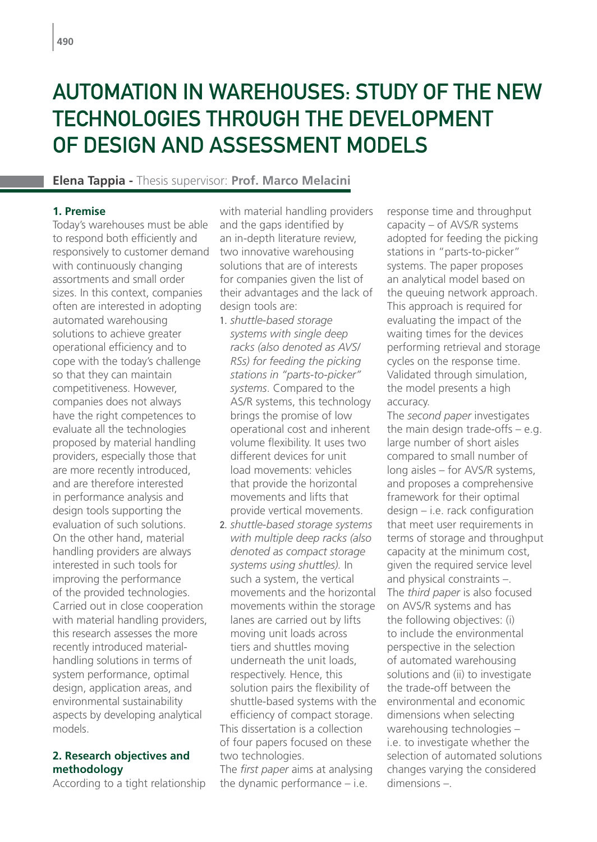# AUTOMATION IN WAREHOUSES: STUDY OF THE NEW TECHNOLOGIES THROUGH THE DEVELOPMENT OF DESIGN AND ASSESSMENT MODELS

## **Elena Tappia -** Thesis supervisor: **Prof. Marco Melacini**

## **1. Premise**

Today's warehouses must be able to respond both efficiently and responsively to customer demand with continuously changing assortments and small order sizes. In this context, companies often are interested in adopting automated warehousing solutions to achieve greater operational efficiency and to cope with the today's challenge so that they can maintain competitiveness. However, companies does not always have the right competences to evaluate all the technologies proposed by material handling providers, especially those that are more recently introduced, and are therefore interested in performance analysis and design tools supporting the evaluation of such solutions. On the other hand, material handling providers are always interested in such tools for improving the performance of the provided technologies. Carried out in close cooperation with material handling providers. this research assesses the more recently introduced materialhandling solutions in terms of system performance, optimal design, application areas, and environmental sustainability aspects by developing analytical models.

## **2. Research objectives and methodology**

According to a tight relationship

with material handling providers and the gaps identified by an in-depth literature review, two innovative warehousing solutions that are of interests for companies given the list of their advantages and the lack of design tools are:

- 1. *shuttle-based storage systems with single deep racks (also denoted as AVS/ RSs) for feeding the picking stations in "parts-to-picker" systems*. Compared to the AS/R systems, this technology brings the promise of low operational cost and inherent volume flexibility. It uses two different devices for unit load movements: vehicles that provide the horizontal movements and lifts that provide vertical movements.
- 2. *shuttle-based storage systems with multiple deep racks (also denoted as compact storage systems using shuttles).* In such a system, the vertical movements and the horizontal movements within the storage lanes are carried out by lifts moving unit loads across tiers and shuttles moving underneath the unit loads, respectively. Hence, this solution pairs the flexibility of shuttle-based systems with the efficiency of compact storage. This dissertation is a collection

of four papers focused on these two technologies.

The *first paper* aims at analysing the dynamic performance – i.e.

response time and throughput capacity – of AVS/R systems adopted for feeding the picking stations in "parts-to-picker" systems. The paper proposes an analytical model based on the queuing network approach. This approach is required for evaluating the impact of the waiting times for the devices performing retrieval and storage cycles on the response time. Validated through simulation, the model presents a high accuracy.

The *second paper* investigates the main design trade-offs – e.g. large number of short aisles compared to small number of long aisles – for AVS/R systems, and proposes a comprehensive framework for their optimal  $design - i.e.$  rack configuration that meet user requirements in terms of storage and throughput capacity at the minimum cost, given the required service level and physical constraints –. The *third paper* is also focused on AVS/R systems and has the following objectives: (i) to include the environmental perspective in the selection of automated warehousing solutions and (ii) to investigate the trade-off between the environmental and economic dimensions when selecting warehousing technologies – i.e. to investigate whether the selection of automated solutions changes varying the considered dimensions –.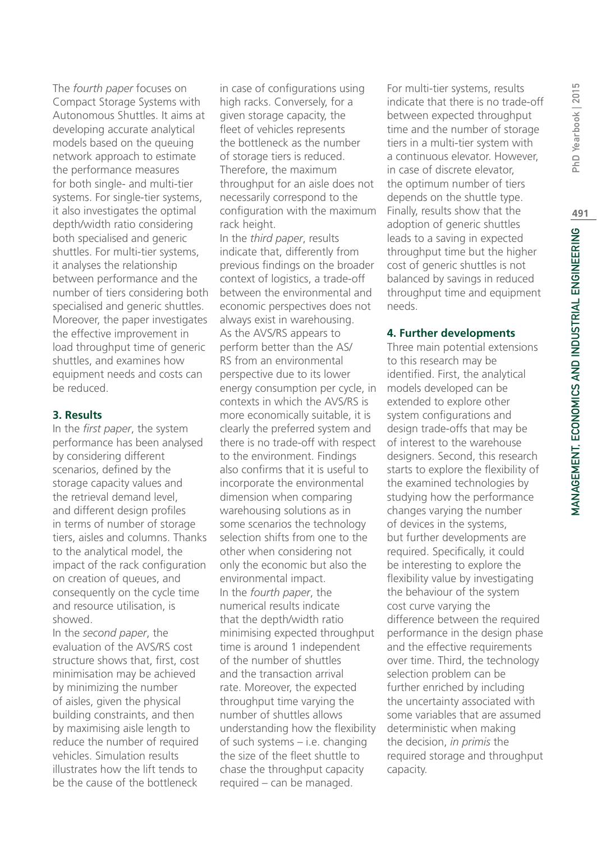The *fourth paper* focuses on Compact Storage Systems with Autonomous Shuttles. It aims at developing accurate analytical models based on the queuing network approach to estimate the performance measures for both single- and multi-tier systems. For single-tier systems, it also investigates the optimal depth/width ratio considering both specialised and generic shuttles. For multi-tier systems, it analyses the relationship between performance and the number of tiers considering both specialised and generic shuttles. Moreover, the paper investigates the effective improvement in load throughput time of generic shuttles, and examines how equipment needs and costs can be reduced.

### **3. Results**

In the *first paper*, the system performance has been analysed by considering different scenarios, defined by the storage capacity values and the retrieval demand level, and different design profiles in terms of number of storage tiers, aisles and columns. Thanks to the analytical model, the impact of the rack configuration on creation of queues, and consequently on the cycle time and resource utilisation, is showed.

In the *second paper*, the evaluation of the AVS/RS cost structure shows that, first, cost minimisation may be achieved by minimizing the number of aisles, given the physical building constraints, and then by maximising aisle length to reduce the number of required vehicles. Simulation results illustrates how the lift tends to be the cause of the bottleneck

in case of configurations using high racks. Conversely, for a given storage capacity, the fleet of vehicles represents the bottleneck as the number of storage tiers is reduced. Therefore, the maximum throughput for an aisle does not necessarily correspond to the configuration with the maximum rack height.

In the *third paper*, results indicate that, differently from previous findings on the broader context of logistics, a trade-off between the environmental and economic perspectives does not always exist in warehousing. As the AVS/RS appears to perform better than the AS/ RS from an environmental perspective due to its lower energy consumption per cycle, in contexts in which the AVS/RS is more economically suitable, it is clearly the preferred system and there is no trade-off with respect to the environment. Findings also confirms that it is useful to incorporate the environmental dimension when comparing warehousing solutions as in some scenarios the technology selection shifts from one to the other when considering not only the economic but also the environmental impact. In the *fourth paper*, the numerical results indicate that the depth/width ratio minimising expected throughput time is around 1 independent of the number of shuttles and the transaction arrival rate. Moreover, the expected throughput time varying the number of shuttles allows understanding how the flexibility of such systems – i.e. changing the size of the fleet shuttle to chase the throughput capacity required – can be managed.

For multi-tier systems, results indicate that there is no trade-off between expected throughput time and the number of storage tiers in a multi-tier system with a continuous elevator. However, in case of discrete elevator, the optimum number of tiers depends on the shuttle type. Finally, results show that the adoption of generic shuttles leads to a saving in expected throughput time but the higher cost of generic shuttles is not balanced by savings in reduced throughput time and equipment needs.

#### **4. Further developments**

Three main potential extensions to this research may be identified. First, the analytical models developed can be extended to explore other system configurations and design trade-offs that may be of interest to the warehouse designers. Second, this research starts to explore the flexibility of the examined technologies by studying how the performance changes varying the number of devices in the systems, but further developments are required. Specifically, it could be interesting to explore the flexibility value by investigating the behaviour of the system cost curve varying the difference between the required performance in the design phase and the effective requirements over time. Third, the technology selection problem can be further enriched by including the uncertainty associated with some variables that are assumed deterministic when making the decision, *in primis* the required storage and throughput capacity.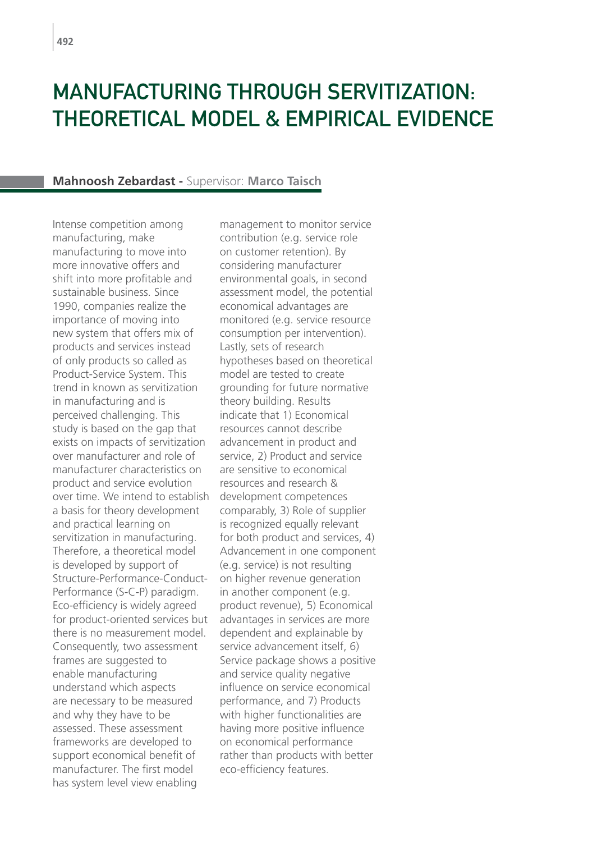## MANUFACTURING THROUGH SERVITIZATION: THEORETICAL MODEL & EMPIRICAL EVIDENCE

### **Mahnoosh Zebardast -** Supervisor: **Marco Taisch**

Intense competition among manufacturing, make manufacturing to move into more innovative offers and shift into more profitable and sustainable business. Since 1990, companies realize the importance of moving into new system that offers mix of products and services instead of only products so called as Product-Service System. This trend in known as servitization in manufacturing and is perceived challenging. This study is based on the gap that exists on impacts of servitization over manufacturer and role of manufacturer characteristics on product and service evolution over time. We intend to establish a basis for theory development and practical learning on servitization in manufacturing. Therefore, a theoretical model is developed by support of Structure-Performance-Conduct-Performance (S-C-P) paradigm. Eco-efficiency is widely agreed for product-oriented services but there is no measurement model. Consequently, two assessment frames are suggested to enable manufacturing understand which aspects are necessary to be measured and why they have to be assessed. These assessment frameworks are developed to support economical benefit of manufacturer. The first model has system level view enabling

management to monitor service contribution (e.g. service role on customer retention). By considering manufacturer environmental goals, in second assessment model, the potential economical advantages are monitored (e.g. service resource consumption per intervention). Lastly, sets of research hypotheses based on theoretical model are tested to create grounding for future normative theory building. Results indicate that 1) Economical resources cannot describe advancement in product and service, 2) Product and service are sensitive to economical resources and research & development competences comparably, 3) Role of supplier is recognized equally relevant for both product and services, 4) Advancement in one component (e.g. service) is not resulting on higher revenue generation in another component (e.g. product revenue), 5) Economical advantages in services are more dependent and explainable by service advancement itself, 6) Service package shows a positive and service quality negative influence on service economical performance, and 7) Products with higher functionalities are having more positive influence on economical performance rather than products with better eco-efficiency features.